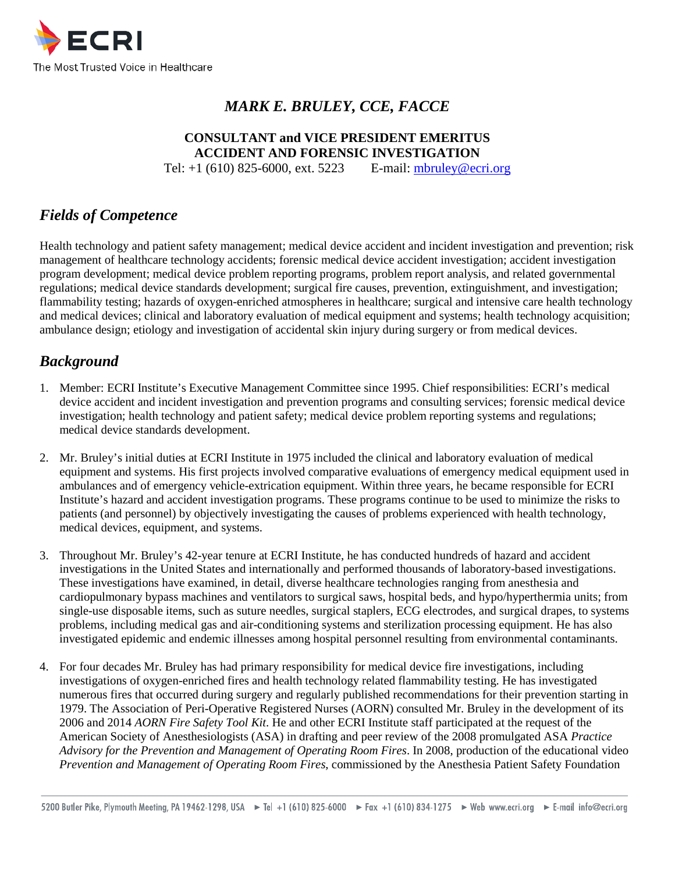

# *MARK E. BRULEY, CCE, FACCE*

#### **CONSULTANT and VICE PRESIDENT EMERITUS ACCIDENT AND FORENSIC INVESTIGATION**

Tel: +1 (610) 825-6000, ext. 5223 E-mail: [mbruley@ecri.org](mailto:mbruley@ecri.org)

# *Fields of Competence*

Health technology and patient safety management; medical device accident and incident investigation and prevention; risk management of healthcare technology accidents; forensic medical device accident investigation; accident investigation program development; medical device problem reporting programs, problem report analysis, and related governmental regulations; medical device standards development; surgical fire causes, prevention, extinguishment, and investigation; flammability testing; hazards of oxygen-enriched atmospheres in healthcare; surgical and intensive care health technology and medical devices; clinical and laboratory evaluation of medical equipment and systems; health technology acquisition; ambulance design; etiology and investigation of accidental skin injury during surgery or from medical devices.

# *Background*

- 1. Member: ECRI Institute's Executive Management Committee since 1995. Chief responsibilities: ECRI's medical device accident and incident investigation and prevention programs and consulting services; forensic medical device investigation; health technology and patient safety; medical device problem reporting systems and regulations; medical device standards development.
- 2. Mr. Bruley's initial duties at ECRI Institute in 1975 included the clinical and laboratory evaluation of medical equipment and systems. His first projects involved comparative evaluations of emergency medical equipment used in ambulances and of emergency vehicle-extrication equipment. Within three years, he became responsible for ECRI Institute's hazard and accident investigation programs. These programs continue to be used to minimize the risks to patients (and personnel) by objectively investigating the causes of problems experienced with health technology, medical devices, equipment, and systems.
- 3. Throughout Mr. Bruley's 42-year tenure at ECRI Institute, he has conducted hundreds of hazard and accident investigations in the United States and internationally and performed thousands of laboratory-based investigations. These investigations have examined, in detail, diverse healthcare technologies ranging from anesthesia and cardiopulmonary bypass machines and ventilators to surgical saws, hospital beds, and hypo/hyperthermia units; from single-use disposable items, such as suture needles, surgical staplers, ECG electrodes, and surgical drapes, to systems problems, including medical gas and air-conditioning systems and sterilization processing equipment. He has also investigated epidemic and endemic illnesses among hospital personnel resulting from environmental contaminants.
- 4. For four decades Mr. Bruley has had primary responsibility for medical device fire investigations, including investigations of oxygen-enriched fires and health technology related flammability testing. He has investigated numerous fires that occurred during surgery and regularly published recommendations for their prevention starting in 1979. The Association of Peri-Operative Registered Nurses (AORN) consulted Mr. Bruley in the development of its 2006 and 2014 *AORN Fire Safety Tool Kit*. He and other ECRI Institute staff participated at the request of the American Society of Anesthesiologists (ASA) in drafting and peer review of the 2008 promulgated ASA *Practice Advisory for the Prevention and Management of Operating Room Fires*. In 2008, production of the educational video *Prevention and Management of Operating Room Fires*, commissioned by the Anesthesia Patient Safety Foundation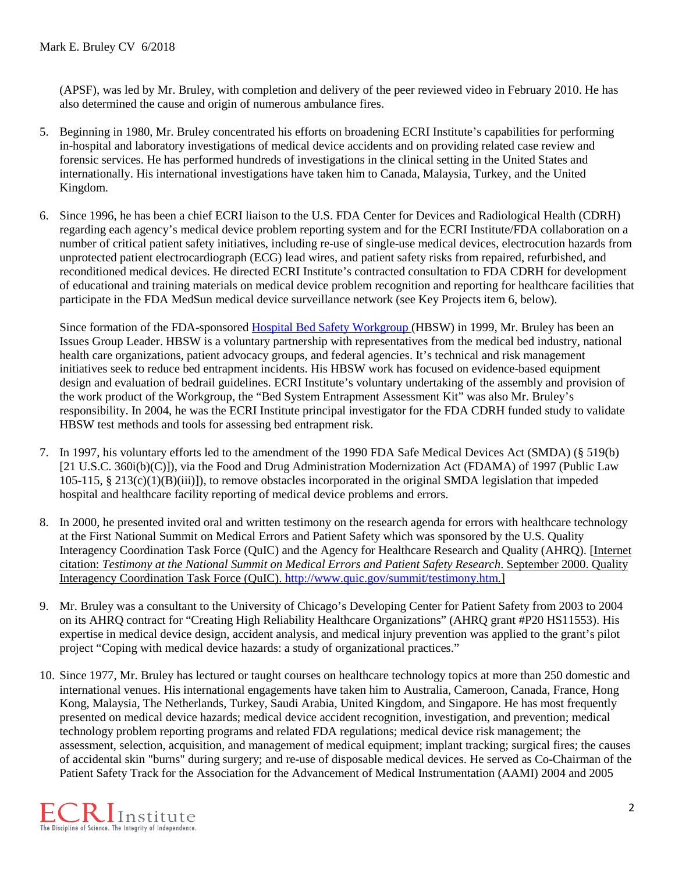(APSF), was led by Mr. Bruley, with completion and delivery of the peer reviewed video in February 2010. He has also determined the cause and origin of numerous ambulance fires.

- 5. Beginning in 1980, Mr. Bruley concentrated his efforts on broadening ECRI Institute's capabilities for performing in-hospital and laboratory investigations of medical device accidents and on providing related case review and forensic services. He has performed hundreds of investigations in the clinical setting in the United States and internationally. His international investigations have taken him to Canada, Malaysia, Turkey, and the United Kingdom.
- 6. Since 1996, he has been a chief ECRI liaison to the U.S. FDA Center for Devices and Radiological Health (CDRH) regarding each agency's medical device problem reporting system and for the ECRI Institute/FDA collaboration on a number of critical patient safety initiatives, including re-use of single-use medical devices, electrocution hazards from unprotected patient electrocardiograph (ECG) lead wires, and patient safety risks from repaired, refurbished, and reconditioned medical devices. He directed ECRI Institute's contracted consultation to FDA CDRH for development of educational and training materials on medical device problem recognition and reporting for healthcare facilities that participate in the FDA MedSun medical device surveillance network (see Key Projects item 6, below).

Since formation of the FDA-sponsored [Hospital Bed Safety Workgroup \(](http://www.fda.gov/MedicalDevices/ProductsandMedicalProcedures/GeneralHospitalDevicesandSupplies/HospitalBeds/ucm2018117.htm)HBSW) in 1999, Mr. Bruley has been an Issues Group Leader. HBSW is a voluntary partnership with representatives from the medical bed industry, national health care organizations, patient advocacy groups, and federal agencies. It's technical and risk management initiatives seek to reduce bed entrapment incidents. His HBSW work has focused on evidence-based equipment design and evaluation of bedrail guidelines. ECRI Institute's voluntary undertaking of the assembly and provision of the work product of the Workgroup, the "Bed System Entrapment Assessment Kit" was also Mr. Bruley's responsibility. In 2004, he was the ECRI Institute principal investigator for the FDA CDRH funded study to validate HBSW test methods and tools for assessing bed entrapment risk.

- 7. In 1997, his voluntary efforts led to the amendment of the 1990 FDA Safe Medical Devices Act (SMDA) (§ 519(b) [21 U.S.C. 360i(b)(C)]), via the Food and Drug Administration Modernization Act (FDAMA) of 1997 (Public Law 105-115, § 213(c)(1)(B)(iii)]), to remove obstacles incorporated in the original SMDA legislation that impeded hospital and healthcare facility reporting of medical device problems and errors.
- 8. In 2000, he presented invited oral and written testimony on the research agenda for errors with healthcare technology at the First National Summit on Medical Errors and Patient Safety which was sponsored by the U.S. Quality Interagency Coordination Task Force (QuIC) and the Agency for Healthcare Research and Quality (AHRQ). [Internet citation: *Testimony at the National Summit on Medical Errors and Patient Safety Research*. September 2000. Quality Interagency Coordination Task Force (QuIC). [http://www.quic.gov/summit/testimony.htm.](http://www.quic.gov/summit/testimony.htm)]
- 9. Mr. Bruley was a consultant to the University of Chicago's Developing Center for Patient Safety from 2003 to 2004 on its AHRQ contract for "Creating High Reliability Healthcare Organizations" (AHRQ grant #P20 HS11553). His expertise in medical device design, accident analysis, and medical injury prevention was applied to the grant's pilot project "Coping with medical device hazards: a study of organizational practices."
- 10. Since 1977, Mr. Bruley has lectured or taught courses on healthcare technology topics at more than 250 domestic and international venues. His international engagements have taken him to Australia, Cameroon, Canada, France, Hong Kong, Malaysia, The Netherlands, Turkey, Saudi Arabia, United Kingdom, and Singapore. He has most frequently presented on medical device hazards; medical device accident recognition, investigation, and prevention; medical technology problem reporting programs and related FDA regulations; medical device risk management; the assessment, selection, acquisition, and management of medical equipment; implant tracking; surgical fires; the causes of accidental skin "burns" during surgery; and re-use of disposable medical devices. He served as Co-Chairman of the Patient Safety Track for the Association for the Advancement of Medical Instrumentation (AAMI) 2004 and 2005

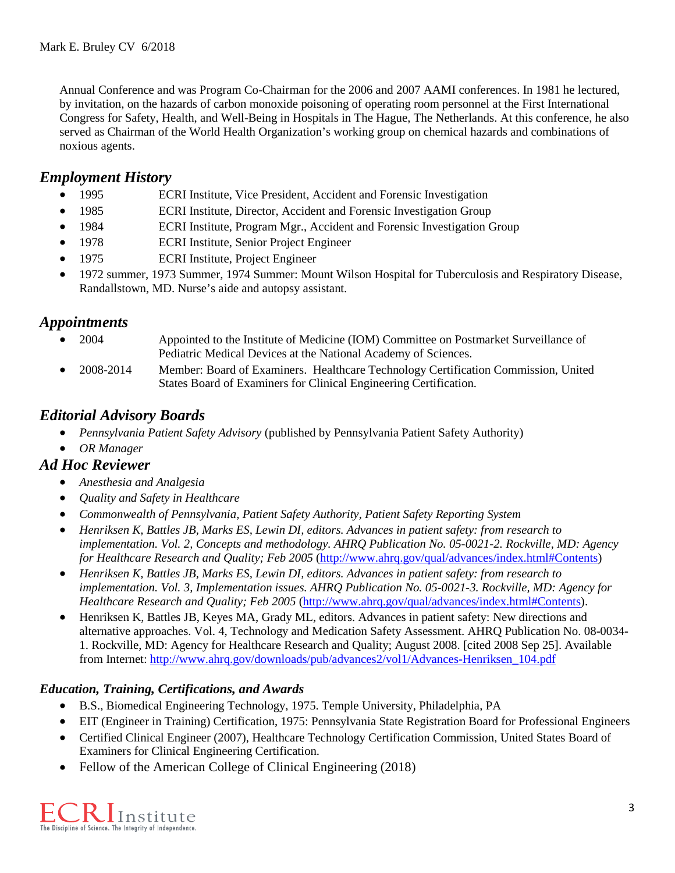Annual Conference and was Program Co-Chairman for the 2006 and 2007 AAMI conferences. In 1981 he lectured, by invitation, on the hazards of carbon monoxide poisoning of operating room personnel at the First International Congress for Safety, Health, and Well-Being in Hospitals in The Hague, The Netherlands. At this conference, he also served as Chairman of the World Health Organization's working group on chemical hazards and combinations of noxious agents.

# *Employment History*

- 1995 ECRI Institute, Vice President, Accident and Forensic Investigation
- 1985 ECRI Institute, Director, Accident and Forensic Investigation Group
- 1984 ECRI Institute, Program Mgr., Accident and Forensic Investigation Group
- 1978 ECRI Institute, Senior Project Engineer
- 1975 ECRI Institute, Project Engineer
- 1972 summer, 1973 Summer, 1974 Summer: Mount Wilson Hospital for Tuberculosis and Respiratory Disease, Randallstown, MD. Nurse's aide and autopsy assistant.

# *Appointments*

- 2004 Appointed to the Institute of Medicine (IOM) Committee on Postmarket Surveillance of Pediatric Medical Devices at the National Academy of Sciences.
- 2008-2014 Member: Board of Examiners. Healthcare Technology Certification Commission, United States Board of Examiners for Clinical Engineering Certification.

# *Editorial Advisory Boards*

- *Pennsylvania Patient Safety Advisory* (published by Pennsylvania Patient Safety Authority)
- *OR Manager*

# *Ad Hoc Reviewer*

- *Anesthesia and Analgesia*
- *Quality and Safety in Healthcare*
- *Commonwealth of Pennsylvania, Patient Safety Authority, Patient Safety Reporting System*
- *Henriksen K, Battles JB, Marks ES, Lewin DI, editors. Advances in patient safety: from research to implementation. Vol. 2, Concepts and methodology. AHRQ Publication No. 05-0021-2. Rockville, MD: Agency for Healthcare Research and Quality; Feb 2005* [\(http://www.ahrq.gov/qual/advances/index.html#Contents\)](http://www.ahrq.gov/qual/advances/index.html#Contents)
- *Henriksen K, Battles JB, Marks ES, Lewin DI, editors. Advances in patient safety: from research to implementation. Vol. 3, Implementation issues. AHRQ Publication No. 05-0021-3. Rockville, MD: Agency for Healthcare Research and Quality; Feb 2005* [\(http://www.ahrq.gov/qual/advances/index.html#Contents\)](http://www.ahrq.gov/qual/advances/index.html#Contents).
- Henriksen K, Battles JB, Keyes MA, Grady ML, editors. Advances in patient safety: New directions and alternative approaches. Vol. 4, Technology and Medication Safety Assessment. AHRQ Publication No. 08-0034- 1. Rockville, MD: Agency for Healthcare Research and Quality; August 2008. [cited 2008 Sep 25]. Available from Internet: [http://www.ahrq.gov/downloads/pub/advances2/vol1/Advances-Henriksen\\_104.pdf](http://www.ahrq.gov/downloads/pub/advances2/vol1/Advances-Henriksen_104.pdf)

### *Education, Training, Certifications, and Awards*

- B.S., Biomedical Engineering Technology, 1975. Temple University, Philadelphia, PA
- EIT (Engineer in Training) Certification, 1975: Pennsylvania State Registration Board for Professional Engineers
- Certified Clinical Engineer (2007), Healthcare Technology Certification Commission, United States Board of Examiners for Clinical Engineering Certification.
- Fellow of the American College of Clinical Engineering (2018)

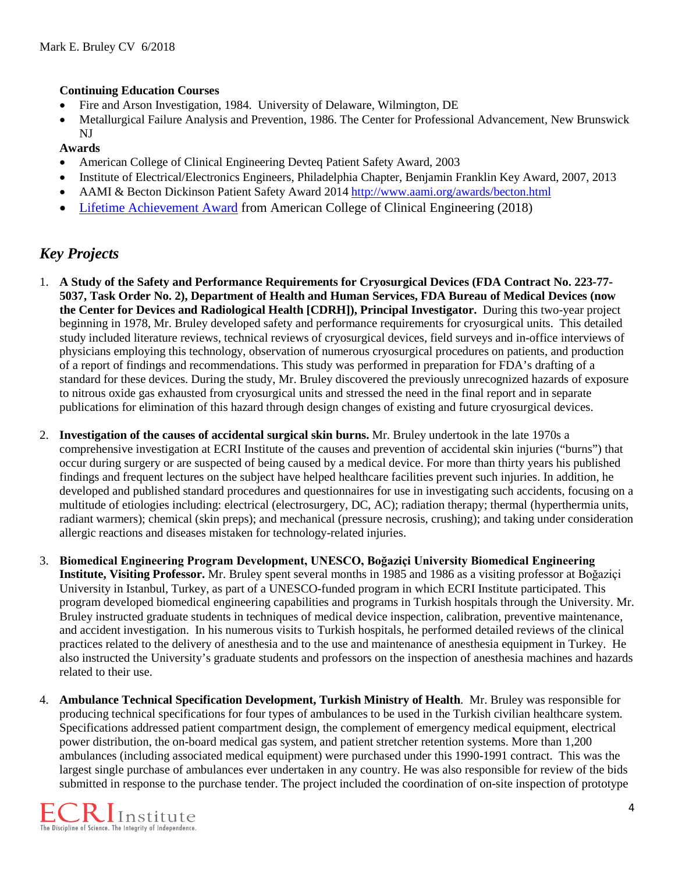#### **Continuing Education Courses**

- Fire and Arson Investigation, 1984. University of Delaware, Wilmington, DE
- Metallurgical Failure Analysis and Prevention, 1986. The Center for Professional Advancement, New Brunswick NJ

#### **Awards**

- American College of Clinical Engineering Devteq Patient Safety Award, 2003
- Institute of Electrical/Electronics Engineers, Philadelphia Chapter, Benjamin Franklin Key Award, 2007, 2013
- AAMI & Becton Dickinson Patient Safety Award 2014<http://www.aami.org/awards/becton.html>
- [Lifetime Achievement Award](https://accenet.org/about/Pages/Advocacy18.aspx) from American College of Clinical Engineering (2018)

# *Key Projects*

- 1. **A Study of the Safety and Performance Requirements for Cryosurgical Devices (FDA Contract No. 223-77- 5037, Task Order No. 2), Department of Health and Human Services, FDA Bureau of Medical Devices (now the Center for Devices and Radiological Health [CDRH]), Principal Investigator.** During this two-year project beginning in 1978, Mr. Bruley developed safety and performance requirements for cryosurgical units. This detailed study included literature reviews, technical reviews of cryosurgical devices, field surveys and in-office interviews of physicians employing this technology, observation of numerous cryosurgical procedures on patients, and production of a report of findings and recommendations. This study was performed in preparation for FDA's drafting of a standard for these devices. During the study, Mr. Bruley discovered the previously unrecognized hazards of exposure to nitrous oxide gas exhausted from cryosurgical units and stressed the need in the final report and in separate publications for elimination of this hazard through design changes of existing and future cryosurgical devices.
- 2. **Investigation of the causes of accidental surgical skin burns.** Mr. Bruley undertook in the late 1970s a comprehensive investigation at ECRI Institute of the causes and prevention of accidental skin injuries ("burns") that occur during surgery or are suspected of being caused by a medical device. For more than thirty years his published findings and frequent lectures on the subject have helped healthcare facilities prevent such injuries. In addition, he developed and published standard procedures and questionnaires for use in investigating such accidents, focusing on a multitude of etiologies including: electrical (electrosurgery, DC, AC); radiation therapy; thermal (hyperthermia units, radiant warmers); chemical (skin preps); and mechanical (pressure necrosis, crushing); and taking under consideration allergic reactions and diseases mistaken for technology-related injuries.
- 3. **Biomedical Engineering Program Development, UNESCO, Boğaziçi University Biomedical Engineering Institute, Visiting Professor.** Mr. Bruley spent several months in 1985 and 1986 as a visiting professor at Boğaziçi University in Istanbul, Turkey, as part of a UNESCO-funded program in which ECRI Institute participated. This program developed biomedical engineering capabilities and programs in Turkish hospitals through the University. Mr. Bruley instructed graduate students in techniques of medical device inspection, calibration, preventive maintenance, and accident investigation. In his numerous visits to Turkish hospitals, he performed detailed reviews of the clinical practices related to the delivery of anesthesia and to the use and maintenance of anesthesia equipment in Turkey. He also instructed the University's graduate students and professors on the inspection of anesthesia machines and hazards related to their use.
- 4. **Ambulance Technical Specification Development, Turkish Ministry of Health**. Mr. Bruley was responsible for producing technical specifications for four types of ambulances to be used in the Turkish civilian healthcare system. Specifications addressed patient compartment design, the complement of emergency medical equipment, electrical power distribution, the on-board medical gas system, and patient stretcher retention systems. More than 1,200 ambulances (including associated medical equipment) were purchased under this 1990-1991 contract. This was the largest single purchase of ambulances ever undertaken in any country. He was also responsible for review of the bids submitted in response to the purchase tender. The project included the coordination of on-site inspection of prototype

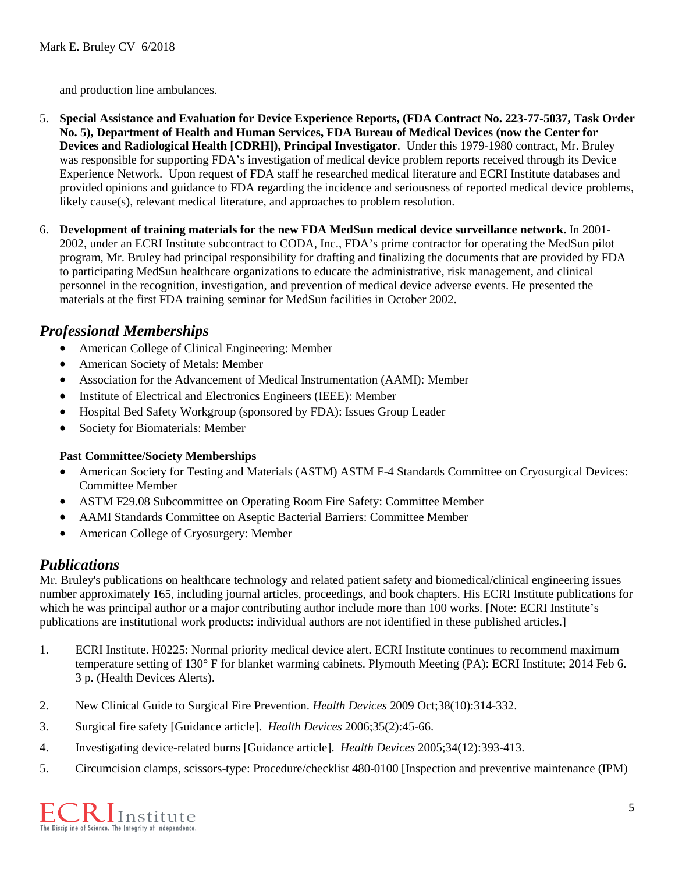and production line ambulances.

- 5. **Special Assistance and Evaluation for Device Experience Reports, (FDA Contract No. 223-77-5037, Task Order No. 5), Department of Health and Human Services, FDA Bureau of Medical Devices (now the Center for Devices and Radiological Health [CDRH]), Principal Investigator**. Under this 1979-1980 contract, Mr. Bruley was responsible for supporting FDA's investigation of medical device problem reports received through its Device Experience Network. Upon request of FDA staff he researched medical literature and ECRI Institute databases and provided opinions and guidance to FDA regarding the incidence and seriousness of reported medical device problems, likely cause(s), relevant medical literature, and approaches to problem resolution.
- 6. **Development of training materials for the new FDA MedSun medical device surveillance network.** In 2001- 2002, under an ECRI Institute subcontract to CODA, Inc., FDA's prime contractor for operating the MedSun pilot program, Mr. Bruley had principal responsibility for drafting and finalizing the documents that are provided by FDA to participating MedSun healthcare organizations to educate the administrative, risk management, and clinical personnel in the recognition, investigation, and prevention of medical device adverse events. He presented the materials at the first FDA training seminar for MedSun facilities in October 2002.

# *Professional Memberships*

- American College of Clinical Engineering: Member
- American Society of Metals: Member
- Association for the Advancement of Medical Instrumentation (AAMI): Member
- Institute of Electrical and Electronics Engineers (IEEE): Member
- Hospital Bed Safety Workgroup (sponsored by FDA): Issues Group Leader
- Society for Biomaterials: Member

#### **Past Committee/Society Memberships**

- American Society for Testing and Materials (ASTM) ASTM F-4 Standards Committee on Cryosurgical Devices: Committee Member
- ASTM F29.08 Subcommittee on Operating Room Fire Safety: Committee Member
- AAMI Standards Committee on Aseptic Bacterial Barriers: Committee Member
- American College of Cryosurgery: Member

# *Publications*

Mr. Bruley's publications on healthcare technology and related patient safety and biomedical/clinical engineering issues number approximately 165, including journal articles, proceedings, and book chapters. His ECRI Institute publications for which he was principal author or a major contributing author include more than 100 works. [Note: ECRI Institute's publications are institutional work products: individual authors are not identified in these published articles.]

- 1. ECRI Institute. H0225: Normal priority medical device alert. ECRI Institute continues to recommend maximum temperature setting of 130° F for blanket warming cabinets. Plymouth Meeting (PA): ECRI Institute; 2014 Feb 6. 3 p. (Health Devices Alerts).
- 2. New Clinical Guide to Surgical Fire Prevention. *Health Devices* 2009 Oct;38(10):314-332.
- 3. Surgical fire safety [Guidance article]. *Health Devices* 2006;35(2):45-66.
- 4. Investigating device-related burns [Guidance article]. *Health Devices* 2005;34(12):393-413.
- 5. Circumcision clamps, scissors-type: Procedure/checklist 480-0100 [Inspection and preventive maintenance (IPM)

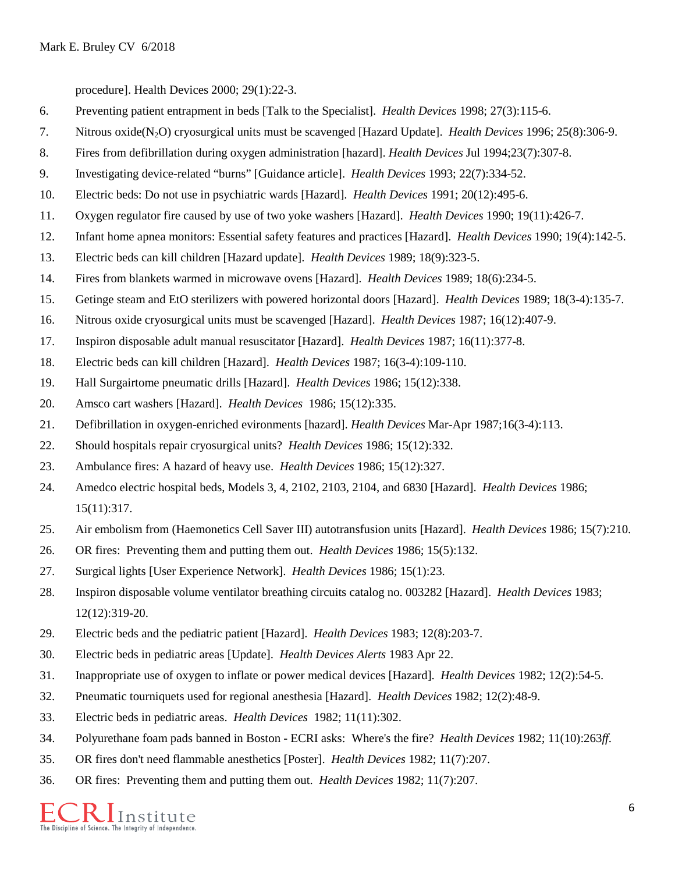procedure]. Health Devices 2000; 29(1):22-3.

- 6. Preventing patient entrapment in beds [Talk to the Specialist]. *Health Devices* 1998; 27(3):115-6.
- 7. Nitrous oxide(N2O) cryosurgical units must be scavenged [Hazard Update]. *Health Devices* 1996; 25(8):306-9.
- 8. Fires from defibrillation during oxygen administration [hazard]. *Health Devices* Jul 1994;23(7):307-8.
- 9. Investigating device-related "burns" [Guidance article]. *Health Devices* 1993; 22(7):334-52.
- 10. Electric beds: Do not use in psychiatric wards [Hazard]. *Health Devices* 1991; 20(12):495-6.
- 11. Oxygen regulator fire caused by use of two yoke washers [Hazard]. *Health Devices* 1990; 19(11):426-7.
- 12. Infant home apnea monitors: Essential safety features and practices [Hazard]. *Health Devices* 1990; 19(4):142-5.
- 13. Electric beds can kill children [Hazard update]. *Health Devices* 1989; 18(9):323-5.
- 14. Fires from blankets warmed in microwave ovens [Hazard]. *Health Devices* 1989; 18(6):234-5.
- 15. Getinge steam and EtO sterilizers with powered horizontal doors [Hazard]. *Health Devices* 1989; 18(3-4):135-7.
- 16. Nitrous oxide cryosurgical units must be scavenged [Hazard]. *Health Devices* 1987; 16(12):407-9.
- 17. Inspiron disposable adult manual resuscitator [Hazard]. *Health Devices* 1987; 16(11):377-8.
- 18. Electric beds can kill children [Hazard]. *Health Devices* 1987; 16(3-4):109-110.
- 19. Hall Surgairtome pneumatic drills [Hazard]. *Health Devices* 1986; 15(12):338.
- 20. Amsco cart washers [Hazard]. *Health Devices* 1986; 15(12):335.
- 21. Defibrillation in oxygen-enriched evironments [hazard]. *Health Devices* Mar-Apr 1987;16(3-4):113.
- 22. Should hospitals repair cryosurgical units? *Health Devices* 1986; 15(12):332.
- 23. Ambulance fires: A hazard of heavy use. *Health Devices* 1986; 15(12):327.
- 24. Amedco electric hospital beds, Models 3, 4, 2102, 2103, 2104, and 6830 [Hazard]. *Health Devices* 1986; 15(11):317.
- 25. Air embolism from (Haemonetics Cell Saver III) autotransfusion units [Hazard]. *Health Devices* 1986; 15(7):210.
- 26. OR fires: Preventing them and putting them out. *Health Devices* 1986; 15(5):132.
- 27. Surgical lights [User Experience Network]. *Health Devices* 1986; 15(1):23.
- 28. Inspiron disposable volume ventilator breathing circuits catalog no. 003282 [Hazard]. *Health Devices* 1983; 12(12):319-20.
- 29. Electric beds and the pediatric patient [Hazard]. *Health Devices* 1983; 12(8):203-7.
- 30. Electric beds in pediatric areas [Update]. *Health Devices Alerts* 1983 Apr 22.
- 31. Inappropriate use of oxygen to inflate or power medical devices [Hazard]. *Health Devices* 1982; 12(2):54-5.
- 32. Pneumatic tourniquets used for regional anesthesia [Hazard]. *Health Devices* 1982; 12(2):48-9.
- 33. Electric beds in pediatric areas. *Health Devices* 1982; 11(11):302.
- 34. Polyurethane foam pads banned in Boston ECRI asks: Where's the fire? *Health Devices* 1982; 11(10):263*ff*.
- 35. OR fires don't need flammable anesthetics [Poster]. *Health Devices* 1982; 11(7):207.
- 36. OR fires: Preventing them and putting them out. *Health Devices* 1982; 11(7):207.

Institute The Discipline of Science. The Integrity of Independence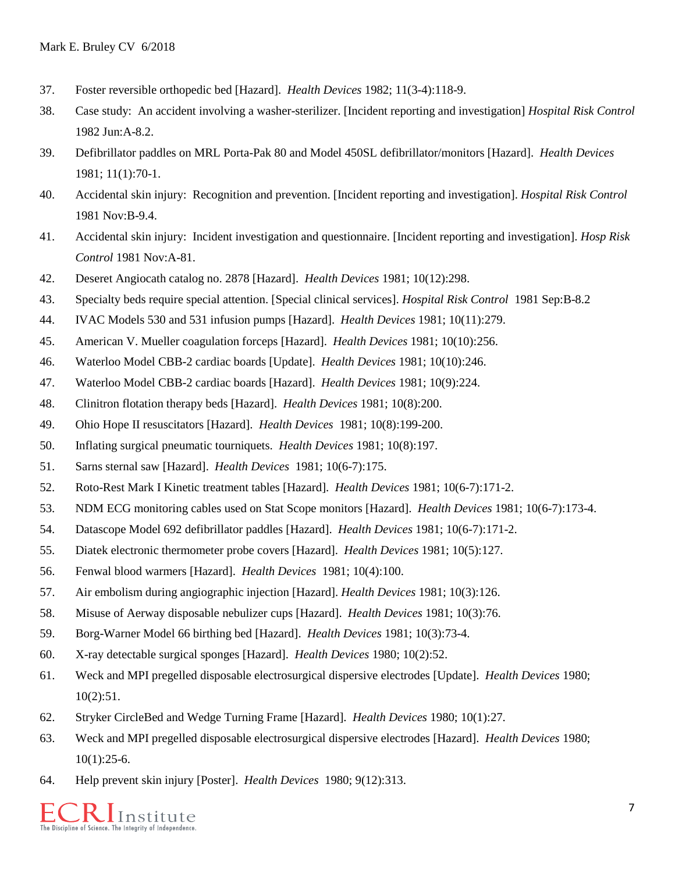- 37. Foster reversible orthopedic bed [Hazard]. *Health Devices* 1982; 11(3-4):118-9.
- 38. Case study: An accident involving a washer-sterilizer. [Incident reporting and investigation] *Hospital Risk Control* 1982 Jun:A-8.2.
- 39. Defibrillator paddles on MRL Porta-Pak 80 and Model 450SL defibrillator/monitors [Hazard]. *Health Devices* 1981; 11(1):70-1.
- 40. Accidental skin injury: Recognition and prevention. [Incident reporting and investigation]. *Hospital Risk Control* 1981 Nov:B-9.4.
- 41. Accidental skin injury: Incident investigation and questionnaire. [Incident reporting and investigation]. *Hosp Risk Control* 1981 Nov:A-81.
- 42. Deseret Angiocath catalog no. 2878 [Hazard]. *Health Devices* 1981; 10(12):298.
- 43. Specialty beds require special attention. [Special clinical services]. *Hospital Risk Control* 1981 Sep:B-8.2
- 44. IVAC Models 530 and 531 infusion pumps [Hazard]. *Health Devices* 1981; 10(11):279.
- 45. American V. Mueller coagulation forceps [Hazard]. *Health Devices* 1981; 10(10):256.
- 46. Waterloo Model CBB-2 cardiac boards [Update]. *Health Devices* 1981; 10(10):246.
- 47. Waterloo Model CBB-2 cardiac boards [Hazard]. *Health Devices* 1981; 10(9):224.
- 48. Clinitron flotation therapy beds [Hazard]. *Health Devices* 1981; 10(8):200.
- 49. Ohio Hope II resuscitators [Hazard]. *Health Devices* 1981; 10(8):199-200.
- 50. Inflating surgical pneumatic tourniquets. *Health Devices* 1981; 10(8):197.
- 51. Sarns sternal saw [Hazard]. *Health Devices* 1981; 10(6-7):175.
- 52. Roto-Rest Mark I Kinetic treatment tables [Hazard]. *Health Devices* 1981; 10(6-7):171-2.
- 53. NDM ECG monitoring cables used on Stat Scope monitors [Hazard]. *Health Devices* 1981; 10(6-7):173-4.
- 54. Datascope Model 692 defibrillator paddles [Hazard]. *Health Devices* 1981; 10(6-7):171-2.
- 55. Diatek electronic thermometer probe covers [Hazard]. *Health Devices* 1981; 10(5):127.
- 56. Fenwal blood warmers [Hazard]. *Health Devices* 1981; 10(4):100.
- 57. Air embolism during angiographic injection [Hazard]. *Health Devices* 1981; 10(3):126.
- 58. Misuse of Aerway disposable nebulizer cups [Hazard]. *Health Devices* 1981; 10(3):76.
- 59. Borg-Warner Model 66 birthing bed [Hazard]. *Health Devices* 1981; 10(3):73-4.
- 60. X-ray detectable surgical sponges [Hazard]. *Health Devices* 1980; 10(2):52.
- 61. Weck and MPI pregelled disposable electrosurgical dispersive electrodes [Update]. *Health Devices* 1980; 10(2):51.
- 62. Stryker CircleBed and Wedge Turning Frame [Hazard]. *Health Devices* 1980; 10(1):27.
- 63. Weck and MPI pregelled disposable electrosurgical dispersive electrodes [Hazard]. *Health Devices* 1980;  $10(1):25-6.$
- 64. Help prevent skin injury [Poster]. *Health Devices* 1980; 9(12):313.

*I* Institute The Discipline of Science. The Integrity of Independence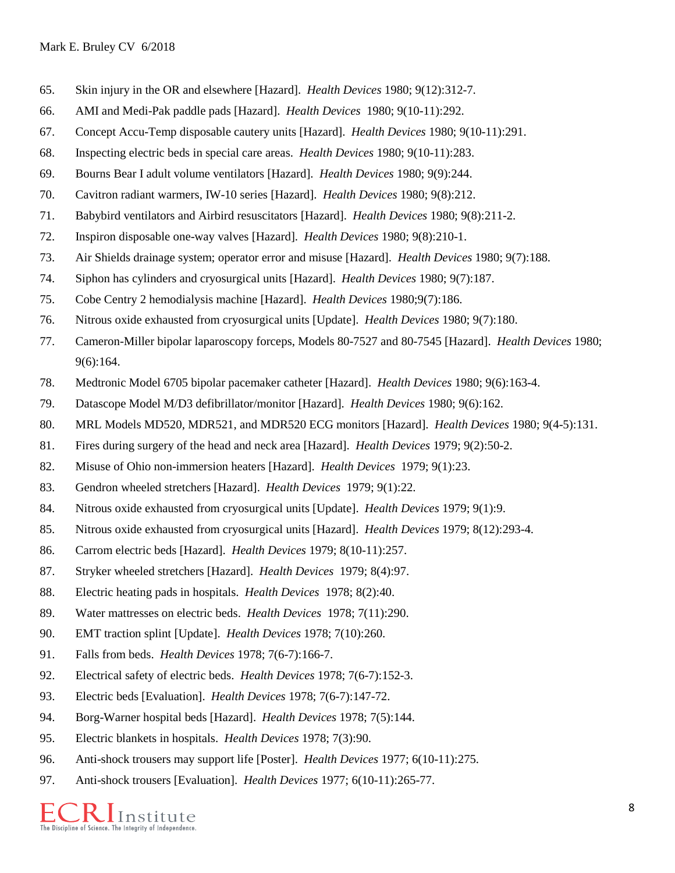- 65. Skin injury in the OR and elsewhere [Hazard]. *Health Devices* 1980; 9(12):312-7.
- 66. AMI and Medi-Pak paddle pads [Hazard]. *Health Devices* 1980; 9(10-11):292.
- 67. Concept Accu-Temp disposable cautery units [Hazard]. *Health Devices* 1980; 9(10-11):291.
- 68. Inspecting electric beds in special care areas. *Health Devices* 1980; 9(10-11):283.
- 69. Bourns Bear I adult volume ventilators [Hazard]. *Health Devices* 1980; 9(9):244.
- 70. Cavitron radiant warmers, IW-10 series [Hazard]. *Health Devices* 1980; 9(8):212.
- 71. Babybird ventilators and Airbird resuscitators [Hazard]. *Health Devices* 1980; 9(8):211-2.
- 72. Inspiron disposable one-way valves [Hazard]. *Health Devices* 1980; 9(8):210-1.
- 73. Air Shields drainage system; operator error and misuse [Hazard]. *Health Devices* 1980; 9(7):188.
- 74. Siphon has cylinders and cryosurgical units [Hazard]. *Health Devices* 1980; 9(7):187.
- 75. Cobe Centry 2 hemodialysis machine [Hazard]. *Health Devices* 1980;9(7):186.
- 76. Nitrous oxide exhausted from cryosurgical units [Update]. *Health Devices* 1980; 9(7):180.
- 77. Cameron-Miller bipolar laparoscopy forceps, Models 80-7527 and 80-7545 [Hazard]. *Health Devices* 1980; 9(6):164.
- 78. Medtronic Model 6705 bipolar pacemaker catheter [Hazard]. *Health Devices* 1980; 9(6):163-4.
- 79. Datascope Model M/D3 defibrillator/monitor [Hazard]. *Health Devices* 1980; 9(6):162.
- 80. MRL Models MD520, MDR521, and MDR520 ECG monitors [Hazard]. *Health Devices* 1980; 9(4-5):131.
- 81. Fires during surgery of the head and neck area [Hazard]. *Health Devices* 1979; 9(2):50-2.
- 82. Misuse of Ohio non-immersion heaters [Hazard]. *Health Devices* 1979; 9(1):23.
- 83. Gendron wheeled stretchers [Hazard]. *Health Devices* 1979; 9(1):22.
- 84. Nitrous oxide exhausted from cryosurgical units [Update]. *Health Devices* 1979; 9(1):9.
- 85. Nitrous oxide exhausted from cryosurgical units [Hazard]. *Health Devices* 1979; 8(12):293-4.
- 86. Carrom electric beds [Hazard]. *Health Devices* 1979; 8(10-11):257.
- 87. Stryker wheeled stretchers [Hazard]. *Health Devices* 1979; 8(4):97.
- 88. Electric heating pads in hospitals. *Health Devices* 1978; 8(2):40.
- 89. Water mattresses on electric beds. *Health Devices* 1978; 7(11):290.
- 90. EMT traction splint [Update]. *Health Devices* 1978; 7(10):260.
- 91. Falls from beds. *Health Devices* 1978; 7(6-7):166-7.
- 92. Electrical safety of electric beds. *Health Devices* 1978; 7(6-7):152-3.
- 93. Electric beds [Evaluation]. *Health Devices* 1978; 7(6-7):147-72.
- 94. Borg-Warner hospital beds [Hazard]. *Health Devices* 1978; 7(5):144.
- 95. Electric blankets in hospitals. *Health Devices* 1978; 7(3):90.
- 96. Anti-shock trousers may support life [Poster]. *Health Devices* 1977; 6(10-11):275.
- 97. Anti-shock trousers [Evaluation]. *Health Devices* 1977; 6(10-11):265-77.

The Discipline of Science. The Integrity of Independence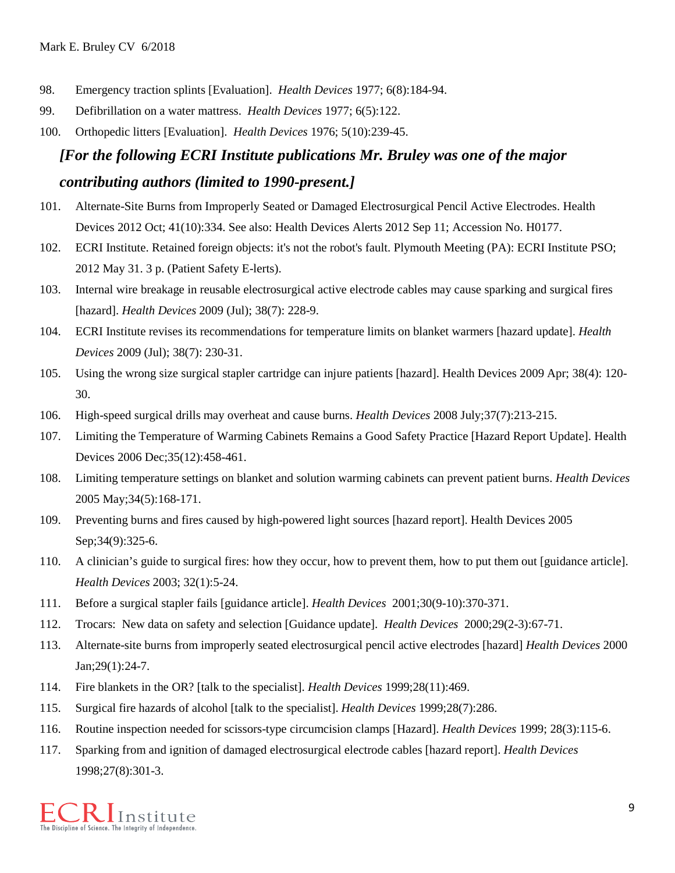- 98. Emergency traction splints [Evaluation]. *Health Devices* 1977; 6(8):184-94.
- 99. Defibrillation on a water mattress. *Health Devices* 1977; 6(5):122.
- 100. Orthopedic litters [Evaluation]. *Health Devices* 1976; 5(10):239-45.

# *[For the following ECRI Institute publications Mr. Bruley was one of the major contributing authors (limited to 1990-present.]*

- 101. Alternate-Site Burns from Improperly Seated or Damaged Electrosurgical Pencil Active Electrodes. Health Devices 2012 Oct; 41(10):334. See also: Health Devices Alerts 2012 Sep 11; Accession No. H0177.
- 102. ECRI Institute. Retained foreign objects: it's not the robot's fault. Plymouth Meeting (PA): ECRI Institute PSO; 2012 May 31. 3 p. (Patient Safety E-lerts).
- 103. Internal wire breakage in reusable electrosurgical active electrode cables may cause sparking and surgical fires [hazard]. *Health Devices* 2009 (Jul); 38(7): 228-9.
- 104. ECRI Institute revises its recommendations for temperature limits on blanket warmers [hazard update]. *Health Devices* 2009 (Jul); 38(7): 230-31.
- 105. Using the wrong size surgical stapler cartridge can injure patients [hazard]. Health Devices 2009 Apr; 38(4): 120- 30.
- 106. High-speed surgical drills may overheat and cause burns. *Health Devices* 2008 July;37(7):213-215.
- 107. Limiting the Temperature of Warming Cabinets Remains a Good Safety Practice [Hazard Report Update]. Health Devices 2006 Dec;35(12):458-461.
- 108. Limiting temperature settings on blanket and solution warming cabinets can prevent patient burns. *Health Devices* 2005 May;34(5):168-171.
- 109. Preventing burns and fires caused by high-powered light sources [hazard report]. Health Devices 2005 Sep: 34(9): 325-6.
- 110. A clinician's guide to surgical fires: how they occur, how to prevent them, how to put them out [guidance article]. *Health Devices* 2003; 32(1):5-24.
- 111. Before a surgical stapler fails [guidance article]. *Health Devices* 2001;30(9-10):370-371.
- 112. Trocars: New data on safety and selection [Guidance update]. *Health Devices* 2000;29(2-3):67-71.
- 113. Alternate-site burns from improperly seated electrosurgical pencil active electrodes [hazard] *Health Devices* 2000 Jan;29(1):24-7.
- 114. Fire blankets in the OR? [talk to the specialist]. *Health Devices* 1999;28(11):469.
- 115. Surgical fire hazards of alcohol [talk to the specialist]. *Health Devices* 1999;28(7):286.
- 116. Routine inspection needed for scissors-type circumcision clamps [Hazard]. *Health Devices* 1999; 28(3):115-6.
- 117. Sparking from and ignition of damaged electrosurgical electrode cables [hazard report]. *Health Devices* 1998;27(8):301-3.

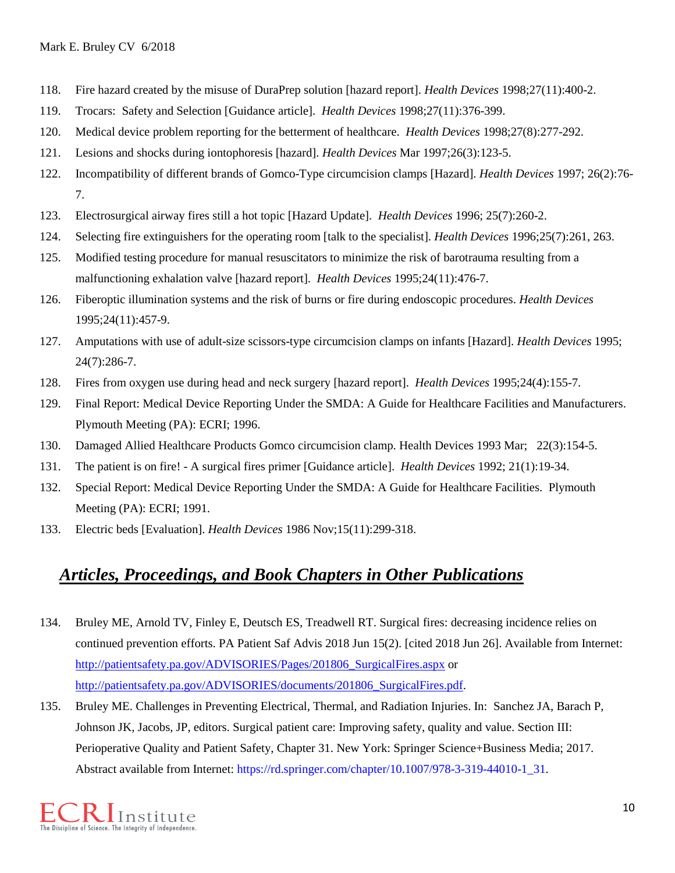- 118. Fire hazard created by the misuse of DuraPrep solution [hazard report]. *Health Devices* 1998;27(11):400-2.
- 119. Trocars: Safety and Selection [Guidance article]. *Health Devices* 1998;27(11):376-399.
- 120. Medical device problem reporting for the betterment of healthcare. *Health Devices* 1998;27(8):277-292.
- 121. Lesions and shocks during iontophoresis [hazard]. *Health Devices* Mar 1997;26(3):123-5.
- 122. Incompatibility of different brands of Gomco-Type circumcision clamps [Hazard]. *Health Devices* 1997; 26(2):76- 7.
- 123. Electrosurgical airway fires still a hot topic [Hazard Update]. *Health Devices* 1996; 25(7):260-2.
- 124. Selecting fire extinguishers for the operating room [talk to the specialist]. *Health Devices* 1996;25(7):261, 263.
- 125. Modified testing procedure for manual resuscitators to minimize the risk of barotrauma resulting from a malfunctioning exhalation valve [hazard report]. *Health Devices* 1995;24(11):476-7.
- 126. Fiberoptic illumination systems and the risk of burns or fire during endoscopic procedures. *Health Devices* 1995;24(11):457-9.
- 127. Amputations with use of adult-size scissors-type circumcision clamps on infants [Hazard]. *Health Devices* 1995; 24(7):286-7.
- 128. Fires from oxygen use during head and neck surgery [hazard report]. *Health Devices* 1995;24(4):155-7.
- 129. Final Report: Medical Device Reporting Under the SMDA: A Guide for Healthcare Facilities and Manufacturers. Plymouth Meeting (PA): ECRI; 1996.
- 130. Damaged Allied Healthcare Products Gomco circumcision clamp. Health Devices 1993 Mar; 22(3):154-5.
- 131. The patient is on fire! A surgical fires primer [Guidance article]. *Health Devices* 1992; 21(1):19-34.
- 132. Special Report: Medical Device Reporting Under the SMDA: A Guide for Healthcare Facilities. Plymouth Meeting (PA): ECRI; 1991.
- 133. Electric beds [Evaluation]. *Health Devices* 1986 Nov;15(11):299-318.

# *Articles, Proceedings, and Book Chapters in Other Publications*

- 134. Bruley ME, Arnold TV, Finley E, Deutsch ES, Treadwell RT. Surgical fires: decreasing incidence relies on continued prevention efforts. PA Patient Saf Advis 2018 Jun 15(2). [cited 2018 Jun 26]. Available from Internet: [http://patientsafety.pa.gov/ADVISORIES/Pages/201806\\_SurgicalFires.aspx](http://patientsafety.pa.gov/ADVISORIES/Pages/201806_SurgicalFires.aspx) or [http://patientsafety.pa.gov/ADVISORIES/documents/201806\\_SurgicalFires.pdf.](http://patientsafety.pa.gov/ADVISORIES/documents/201806_SurgicalFires.pdf)
- 135. Bruley ME. Challenges in Preventing Electrical, Thermal, and Radiation Injuries. In: Sanchez JA, Barach P, Johnson JK, Jacobs, JP, editors. Surgical patient care: Improving safety, quality and value. Section III: Perioperative Quality and Patient Safety, Chapter 31. New York: Springer Science+Business Media; 2017. Abstract available from Internet: https://rd.springer.com/chapter/10.1007/978-3-319-44010-1\_31.

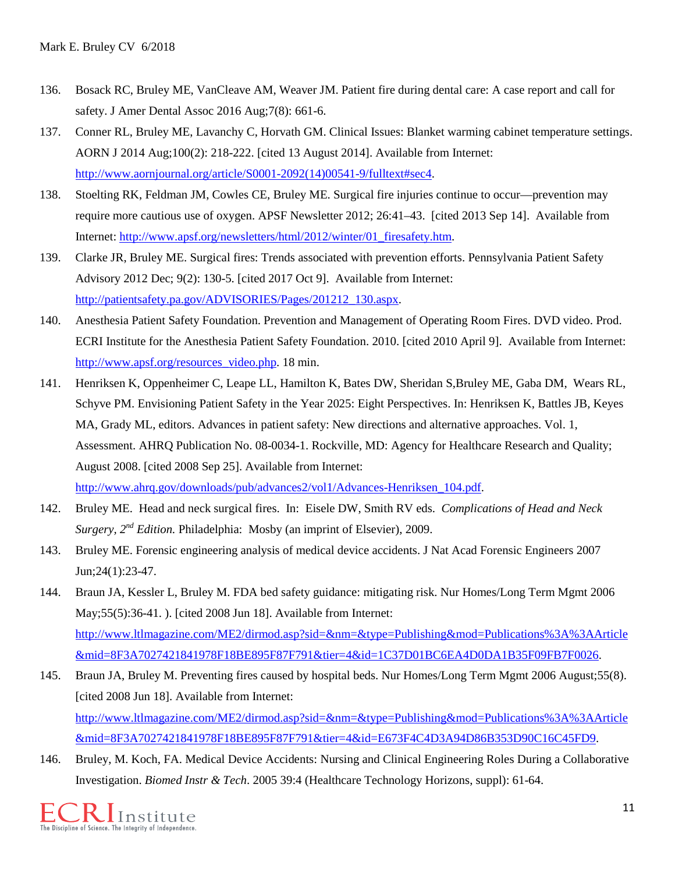- 136. Bosack RC, Bruley ME, VanCleave AM, Weaver JM. Patient fire during dental care: A case report and call for safety. J Amer Dental Assoc 2016 Aug;7(8): 661-6.
- 137. Conner RL, Bruley ME, Lavanchy C, Horvath GM. Clinical Issues: Blanket warming cabinet temperature settings. AORN J 2014 Aug;100(2): 218-222. [cited 13 August 2014]. Available from Internet: [http://www.aornjournal.org/article/S0001-2092\(14\)00541-9/fulltext#sec4.](http://www.aornjournal.org/article/S0001-2092(14)00541-9/fulltext#sec4)
- 138. Stoelting RK, Feldman JM, Cowles CE, Bruley ME. Surgical fire injuries continue to occur—prevention may require more cautious use of oxygen. APSF Newsletter 2012; 26:41–43. [cited 2013 Sep 14]. Available from Internet: [http://www.apsf.org/newsletters/html/2012/winter/01\\_firesafety.htm.](http://www.apsf.org/newsletters/html/2012/winter/01_firesafety.htm)
- 139. Clarke JR, Bruley ME. Surgical fires: Trends associated with prevention efforts. Pennsylvania Patient Safety Advisory 2012 Dec; 9(2): 130-5. [cited 2017 Oct 9]. Available from Internet: [http://patientsafety.pa.gov/ADVISORIES/Pages/201212\\_130.aspx.](http://patientsafety.pa.gov/ADVISORIES/Pages/201212_130.aspx)
- 140. Anesthesia Patient Safety Foundation. Prevention and Management of Operating Room Fires. DVD video. Prod. ECRI Institute for the Anesthesia Patient Safety Foundation. 2010. [cited 2010 April 9]. Available from Internet: [http://www.apsf.org/resources\\_video.php.](http://www.apsf.org/resources_video.php) 18 min.
- 141. Henriksen K, Oppenheimer C, Leape LL, Hamilton K, Bates DW, Sheridan S,Bruley ME, Gaba DM, Wears RL, Schyve PM. Envisioning Patient Safety in the Year 2025: Eight Perspectives. In: Henriksen K, Battles JB, Keyes MA, Grady ML, editors. Advances in patient safety: New directions and alternative approaches. Vol. 1, Assessment. AHRQ Publication No. 08-0034-1. Rockville, MD: Agency for Healthcare Research and Quality; August 2008. [cited 2008 Sep 25]. Available from Internet: [http://www.ahrq.gov/downloads/pub/advances2/vol1/Advances-Henriksen\\_104.pdf.](http://www.ahrq.gov/downloads/pub/advances2/vol1/Advances-Henriksen_104.pdf)
- 142. Bruley ME. Head and neck surgical fires. In: Eisele DW, Smith RV eds. *Complications of Head and Neck Surgery, 2nd Edition.* Philadelphia: Mosby (an imprint of Elsevier), 2009.
- 143. Bruley ME. Forensic engineering analysis of medical device accidents. J Nat Acad Forensic Engineers 2007 Jun;24(1):23-47.
- 144. Braun JA, Kessler L, Bruley M. FDA bed safety guidance: mitigating risk. Nur Homes/Long Term Mgmt 2006 May;55(5):36-41. ). [cited 2008 Jun 18]. Available from Internet: [http://www.ltlmagazine.com/ME2/dirmod.asp?sid=&nm=&type=Publishing&mod=Publications%3A%3AArticle](http://www.ltlmagazine.com/ME2/dirmod.asp?sid=&nm=&type=Publishing&mod=Publications%3A%3AArticle&mid=8F3A7027421841978F18BE895F87F791&tier=4&id=1C37D01BC6EA4D0DA1B35F09FB7F0026) [&mid=8F3A7027421841978F18BE895F87F791&tier=4&id=1C37D01BC6EA4D0DA1B35F09FB7F0026.](http://www.ltlmagazine.com/ME2/dirmod.asp?sid=&nm=&type=Publishing&mod=Publications%3A%3AArticle&mid=8F3A7027421841978F18BE895F87F791&tier=4&id=1C37D01BC6EA4D0DA1B35F09FB7F0026)
- 145. Braun JA, Bruley M. Preventing fires caused by hospital beds. Nur Homes/Long Term Mgmt 2006 August;55(8). [cited 2008 Jun 18]. Available from Internet: [http://www.ltlmagazine.com/ME2/dirmod.asp?sid=&nm=&type=Publishing&mod=Publications%3A%3AArticle](http://www.ltlmagazine.com/ME2/dirmod.asp?sid=&nm=&type=Publishing&mod=Publications%3A%3AArticle&mid=8F3A7027421841978F18BE895F87F791&tier=4&id=E673F4C4D3A94D86B353D90C16C45FD9) [&mid=8F3A7027421841978F18BE895F87F791&tier=4&id=E673F4C4D3A94D86B353D90C16C45FD9.](http://www.ltlmagazine.com/ME2/dirmod.asp?sid=&nm=&type=Publishing&mod=Publications%3A%3AArticle&mid=8F3A7027421841978F18BE895F87F791&tier=4&id=E673F4C4D3A94D86B353D90C16C45FD9)
- 146. Bruley, M. Koch, FA. Medical Device Accidents: Nursing and Clinical Engineering Roles During a Collaborative Investigation. *Biomed Instr & Tech*. 2005 39:4 (Healthcare Technology Horizons, suppl): 61-64.

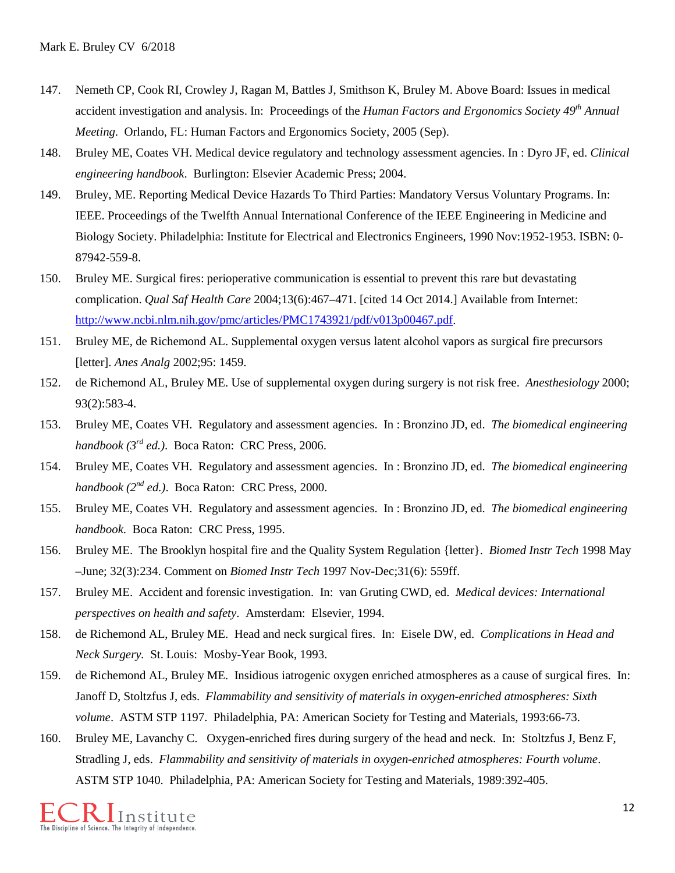- 147. Nemeth CP, Cook RI, Crowley J, Ragan M, Battles J, Smithson K, Bruley M. Above Board: Issues in medical accident investigation and analysis. In: Proceedings of the *Human Factors and Ergonomics Society 49th Annual Meeting*. Orlando, FL: Human Factors and Ergonomics Society, 2005 (Sep).
- 148. Bruley ME, Coates VH. Medical device regulatory and technology assessment agencies. In : Dyro JF, ed. *Clinical engineering handbook*. Burlington: Elsevier Academic Press; 2004.
- 149. Bruley, ME. Reporting Medical Device Hazards To Third Parties: Mandatory Versus Voluntary Programs. In: IEEE. Proceedings of the Twelfth Annual International Conference of the IEEE Engineering in Medicine and Biology Society. Philadelphia: Institute for Electrical and Electronics Engineers, 1990 Nov:1952-1953. ISBN: 0- 87942-559-8.
- 150. Bruley ME. Surgical fires: perioperative communication is essential to prevent this rare but devastating complication. *Qual Saf Health Care* 2004;13(6):467–471. [cited 14 Oct 2014.] Available from Internet: [http://www.ncbi.nlm.nih.gov/pmc/articles/PMC1743921/pdf/v013p00467.pdf.](http://www.ncbi.nlm.nih.gov/pmc/articles/PMC1743921/pdf/v013p00467.pdf)
- 151. Bruley ME, de Richemond AL. Supplemental oxygen versus latent alcohol vapors as surgical fire precursors [letter]. *Anes Analg* 2002;95: 1459.
- 152. de Richemond AL, Bruley ME. Use of supplemental oxygen during surgery is not risk free. *Anesthesiology* 2000; 93(2):583-4.
- 153. Bruley ME, Coates VH. Regulatory and assessment agencies. In : Bronzino JD, ed. *The biomedical engineering handbook (3rd ed.)*. Boca Raton: CRC Press, 2006.
- 154. Bruley ME, Coates VH. Regulatory and assessment agencies. In : Bronzino JD, ed. *The biomedical engineering handbook (2nd ed.)*. Boca Raton: CRC Press, 2000.
- 155. Bruley ME, Coates VH. Regulatory and assessment agencies. In : Bronzino JD, ed. *The biomedical engineering handbook*. Boca Raton: CRC Press, 1995.
- 156. Bruley ME. The Brooklyn hospital fire and the Quality System Regulation {letter}. *Biomed Instr Tech* 1998 May –June; 32(3):234. Comment on *Biomed Instr Tech* 1997 Nov-Dec;31(6): 559ff.
- 157. Bruley ME. Accident and forensic investigation. In: van Gruting CWD, ed. *Medical devices: International perspectives on health and safety*. Amsterdam: Elsevier, 1994.
- 158. de Richemond AL, Bruley ME. Head and neck surgical fires. In: Eisele DW, ed. *Complications in Head and Neck Surgery.* St. Louis: Mosby-Year Book, 1993.
- 159. de Richemond AL, Bruley ME. Insidious iatrogenic oxygen enriched atmospheres as a cause of surgical fires. In: Janoff D, Stoltzfus J, eds. *Flammability and sensitivity of materials in oxygen-enriched atmospheres: Sixth volume*. ASTM STP 1197. Philadelphia, PA: American Society for Testing and Materials, 1993:66-73.
- 160. Bruley ME, Lavanchy C. Oxygen-enriched fires during surgery of the head and neck. In: Stoltzfus J, Benz F, Stradling J, eds. *Flammability and sensitivity of materials in oxygen-enriched atmospheres: Fourth volume*. ASTM STP 1040. Philadelphia, PA: American Society for Testing and Materials, 1989:392-405.

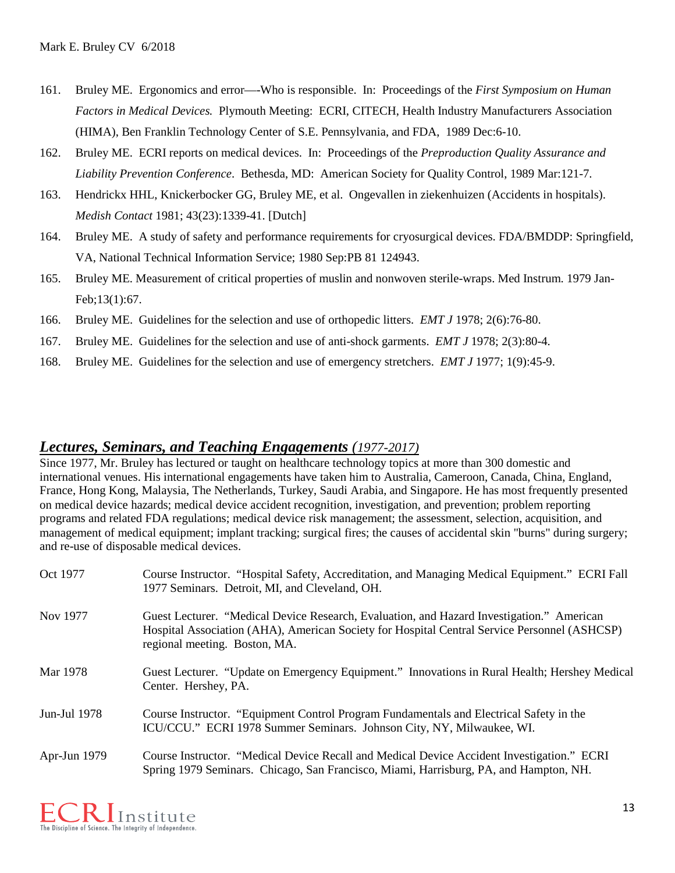- 161. Bruley ME. Ergonomics and error—-Who is responsible. In: Proceedings of the *First Symposium on Human Factors in Medical Devices.* Plymouth Meeting: ECRI, CITECH, Health Industry Manufacturers Association (HIMA), Ben Franklin Technology Center of S.E. Pennsylvania, and FDA, 1989 Dec:6-10.
- 162. Bruley ME. ECRI reports on medical devices. In: Proceedings of the *Preproduction Quality Assurance and Liability Prevention Conference*. Bethesda, MD: American Society for Quality Control, 1989 Mar:121-7.
- 163. Hendrickx HHL, Knickerbocker GG, Bruley ME, et al. Ongevallen in ziekenhuizen (Accidents in hospitals). *Medish Contact* 1981; 43(23):1339-41. [Dutch]
- 164. Bruley ME. A study of safety and performance requirements for cryosurgical devices. FDA/BMDDP: Springfield, VA, National Technical Information Service; 1980 Sep:PB 81 124943.
- 165. Bruley ME. Measurement of critical properties of muslin and nonwoven sterile-wraps. Med Instrum. 1979 Jan-Feb;13(1):67.
- 166. Bruley ME. Guidelines for the selection and use of orthopedic litters. *EMT J* 1978; 2(6):76-80.
- 167. Bruley ME. Guidelines for the selection and use of anti-shock garments. *EMT J* 1978; 2(3):80-4.
- 168. Bruley ME. Guidelines for the selection and use of emergency stretchers. *EMT J* 1977; 1(9):45-9.

### *Lectures, Seminars, and Teaching Engagements (1977-2017)*

Since 1977, Mr. Bruley has lectured or taught on healthcare technology topics at more than 300 domestic and international venues. His international engagements have taken him to Australia, Cameroon, Canada, China, England, France, Hong Kong, Malaysia, The Netherlands, Turkey, Saudi Arabia, and Singapore. He has most frequently presented on medical device hazards; medical device accident recognition, investigation, and prevention; problem reporting programs and related FDA regulations; medical device risk management; the assessment, selection, acquisition, and management of medical equipment; implant tracking; surgical fires; the causes of accidental skin "burns" during surgery; and re-use of disposable medical devices.

| Oct 1977     | Course Instructor. "Hospital Safety, Accreditation, and Managing Medical Equipment." ECRI Fall<br>1977 Seminars. Detroit, MI, and Cleveland, OH.                                                                           |
|--------------|----------------------------------------------------------------------------------------------------------------------------------------------------------------------------------------------------------------------------|
| Nov 1977     | Guest Lecturer. "Medical Device Research, Evaluation, and Hazard Investigation." American<br>Hospital Association (AHA), American Society for Hospital Central Service Personnel (ASHCSP)<br>regional meeting. Boston, MA. |
| Mar 1978     | Guest Lecturer. "Update on Emergency Equipment." Innovations in Rural Health; Hershey Medical<br>Center. Hershey, PA.                                                                                                      |
| Jun-Jul 1978 | Course Instructor. "Equipment Control Program Fundamentals and Electrical Safety in the<br>ICU/CCU." ECRI 1978 Summer Seminars. Johnson City, NY, Milwaukee, WI.                                                           |
| Apr-Jun 1979 | Course Instructor. "Medical Device Recall and Medical Device Accident Investigation." ECRI<br>Spring 1979 Seminars. Chicago, San Francisco, Miami, Harrisburg, PA, and Hampton, NH.                                        |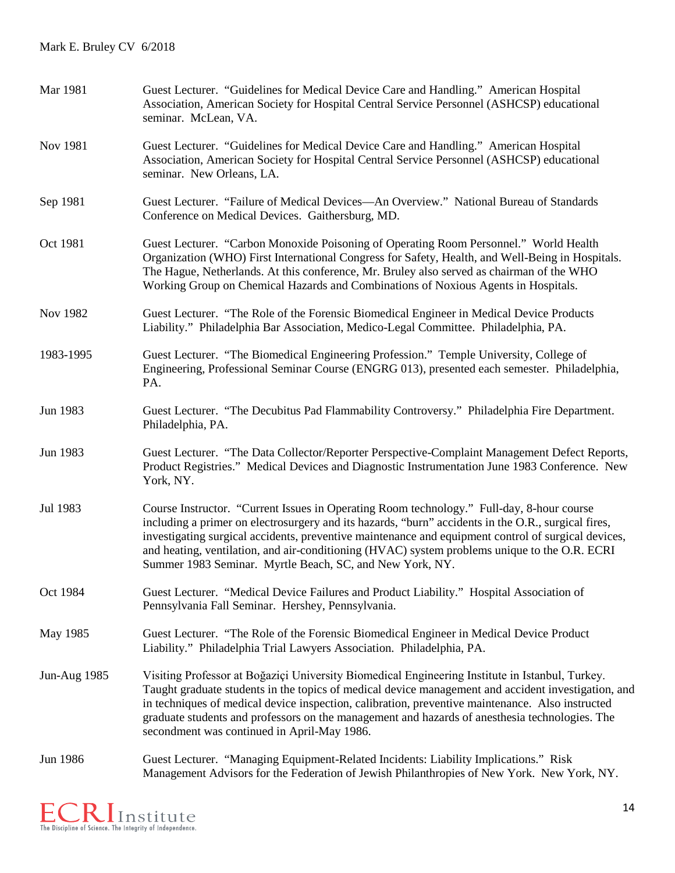| Mar 1981            | Guest Lecturer. "Guidelines for Medical Device Care and Handling." American Hospital<br>Association, American Society for Hospital Central Service Personnel (ASHCSP) educational<br>seminar. McLean, VA.                                                                                                                                                                                                                                                            |
|---------------------|----------------------------------------------------------------------------------------------------------------------------------------------------------------------------------------------------------------------------------------------------------------------------------------------------------------------------------------------------------------------------------------------------------------------------------------------------------------------|
| Nov 1981            | Guest Lecturer. "Guidelines for Medical Device Care and Handling." American Hospital<br>Association, American Society for Hospital Central Service Personnel (ASHCSP) educational<br>seminar. New Orleans, LA.                                                                                                                                                                                                                                                       |
| Sep 1981            | Guest Lecturer. "Failure of Medical Devices—An Overview." National Bureau of Standards<br>Conference on Medical Devices. Gaithersburg, MD.                                                                                                                                                                                                                                                                                                                           |
| Oct 1981            | Guest Lecturer. "Carbon Monoxide Poisoning of Operating Room Personnel." World Health<br>Organization (WHO) First International Congress for Safety, Health, and Well-Being in Hospitals.<br>The Hague, Netherlands. At this conference, Mr. Bruley also served as chairman of the WHO<br>Working Group on Chemical Hazards and Combinations of Noxious Agents in Hospitals.                                                                                         |
| Nov 1982            | Guest Lecturer. "The Role of the Forensic Biomedical Engineer in Medical Device Products<br>Liability." Philadelphia Bar Association, Medico-Legal Committee. Philadelphia, PA.                                                                                                                                                                                                                                                                                      |
| 1983-1995           | Guest Lecturer. "The Biomedical Engineering Profession." Temple University, College of<br>Engineering, Professional Seminar Course (ENGRG 013), presented each semester. Philadelphia,<br>PA.                                                                                                                                                                                                                                                                        |
| Jun 1983            | Guest Lecturer. "The Decubitus Pad Flammability Controversy." Philadelphia Fire Department.<br>Philadelphia, PA.                                                                                                                                                                                                                                                                                                                                                     |
| Jun 1983            | Guest Lecturer. "The Data Collector/Reporter Perspective-Complaint Management Defect Reports,<br>Product Registries." Medical Devices and Diagnostic Instrumentation June 1983 Conference. New<br>York, NY.                                                                                                                                                                                                                                                          |
| Jul 1983            | Course Instructor. "Current Issues in Operating Room technology." Full-day, 8-hour course<br>including a primer on electrosurgery and its hazards, "burn" accidents in the O.R., surgical fires,<br>investigating surgical accidents, preventive maintenance and equipment control of surgical devices,<br>and heating, ventilation, and air-conditioning (HVAC) system problems unique to the O.R. ECRI<br>Summer 1983 Seminar. Myrtle Beach, SC, and New York, NY. |
| Oct 1984            | Guest Lecturer. "Medical Device Failures and Product Liability." Hospital Association of<br>Pennsylvania Fall Seminar. Hershey, Pennsylvania.                                                                                                                                                                                                                                                                                                                        |
| May 1985            | Guest Lecturer. "The Role of the Forensic Biomedical Engineer in Medical Device Product<br>Liability." Philadelphia Trial Lawyers Association. Philadelphia, PA.                                                                                                                                                                                                                                                                                                     |
| <b>Jun-Aug 1985</b> | Visiting Professor at Boğaziçi University Biomedical Engineering Institute in Istanbul, Turkey.<br>Taught graduate students in the topics of medical device management and accident investigation, and<br>in techniques of medical device inspection, calibration, preventive maintenance. Also instructed<br>graduate students and professors on the management and hazards of anesthesia technologies. The<br>secondment was continued in April-May 1986.          |
| Jun 1986            | Guest Lecturer. "Managing Equipment-Related Incidents: Liability Implications." Risk<br>Management Advisors for the Federation of Jewish Philanthropies of New York. New York, NY.                                                                                                                                                                                                                                                                                   |

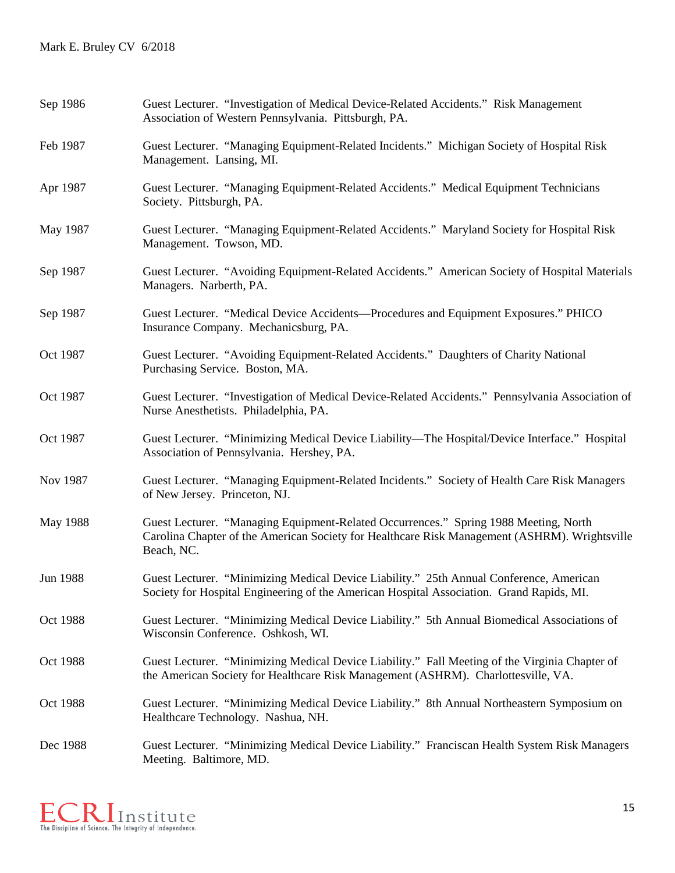| Sep 1986 | Guest Lecturer. "Investigation of Medical Device-Related Accidents." Risk Management<br>Association of Western Pennsylvania. Pittsburgh, PA.                                                        |
|----------|-----------------------------------------------------------------------------------------------------------------------------------------------------------------------------------------------------|
| Feb 1987 | Guest Lecturer. "Managing Equipment-Related Incidents." Michigan Society of Hospital Risk<br>Management. Lansing, MI.                                                                               |
| Apr 1987 | Guest Lecturer. "Managing Equipment-Related Accidents." Medical Equipment Technicians<br>Society. Pittsburgh, PA.                                                                                   |
| May 1987 | Guest Lecturer. "Managing Equipment-Related Accidents." Maryland Society for Hospital Risk<br>Management. Towson, MD.                                                                               |
| Sep 1987 | Guest Lecturer. "Avoiding Equipment-Related Accidents." American Society of Hospital Materials<br>Managers. Narberth, PA.                                                                           |
| Sep 1987 | Guest Lecturer. "Medical Device Accidents—Procedures and Equipment Exposures." PHICO<br>Insurance Company. Mechanicsburg, PA.                                                                       |
| Oct 1987 | Guest Lecturer. "Avoiding Equipment-Related Accidents." Daughters of Charity National<br>Purchasing Service. Boston, MA.                                                                            |
| Oct 1987 | Guest Lecturer. "Investigation of Medical Device-Related Accidents." Pennsylvania Association of<br>Nurse Anesthetists. Philadelphia, PA.                                                           |
| Oct 1987 | Guest Lecturer. "Minimizing Medical Device Liability—The Hospital/Device Interface." Hospital<br>Association of Pennsylvania. Hershey, PA.                                                          |
| Nov 1987 | Guest Lecturer. "Managing Equipment-Related Incidents." Society of Health Care Risk Managers<br>of New Jersey. Princeton, NJ.                                                                       |
| May 1988 | Guest Lecturer. "Managing Equipment-Related Occurrences." Spring 1988 Meeting, North<br>Carolina Chapter of the American Society for Healthcare Risk Management (ASHRM). Wrightsville<br>Beach, NC. |
| Jun 1988 | Guest Lecturer. "Minimizing Medical Device Liability." 25th Annual Conference, American<br>Society for Hospital Engineering of the American Hospital Association. Grand Rapids, MI.                 |
| Oct 1988 | Guest Lecturer. "Minimizing Medical Device Liability." 5th Annual Biomedical Associations of<br>Wisconsin Conference. Oshkosh, WI.                                                                  |
| Oct 1988 | Guest Lecturer. "Minimizing Medical Device Liability." Fall Meeting of the Virginia Chapter of<br>the American Society for Healthcare Risk Management (ASHRM). Charlottesville, VA.                 |
| Oct 1988 | Guest Lecturer. "Minimizing Medical Device Liability." 8th Annual Northeastern Symposium on<br>Healthcare Technology. Nashua, NH.                                                                   |
| Dec 1988 | Guest Lecturer. "Minimizing Medical Device Liability." Franciscan Health System Risk Managers<br>Meeting. Baltimore, MD.                                                                            |

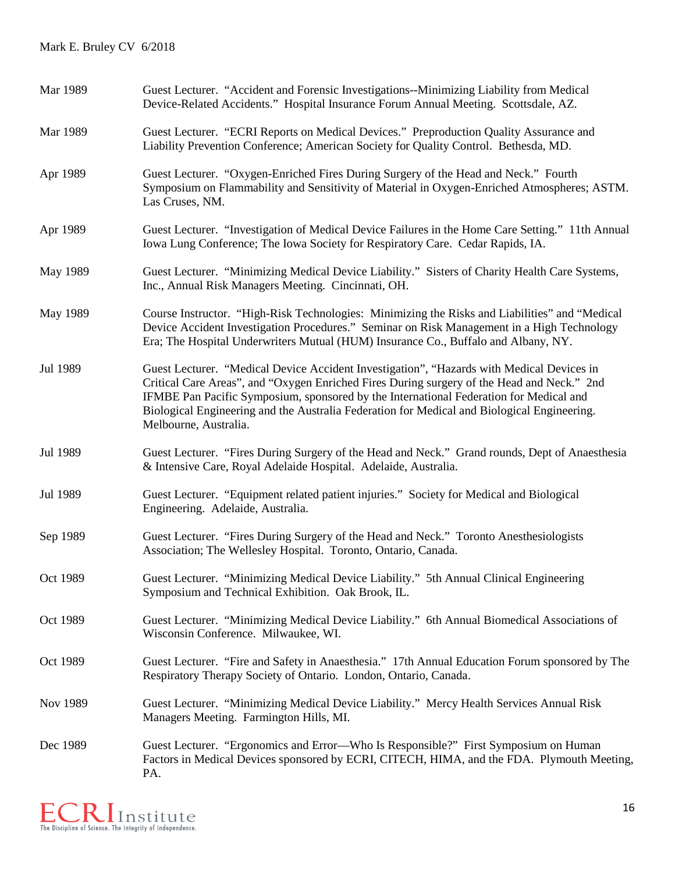| Mar 1989 | Guest Lecturer. "Accident and Forensic Investigations--Minimizing Liability from Medical<br>Device-Related Accidents." Hospital Insurance Forum Annual Meeting. Scottsdale, AZ.                                                                                                                                                                                                                           |
|----------|-----------------------------------------------------------------------------------------------------------------------------------------------------------------------------------------------------------------------------------------------------------------------------------------------------------------------------------------------------------------------------------------------------------|
| Mar 1989 | Guest Lecturer. "ECRI Reports on Medical Devices." Preproduction Quality Assurance and<br>Liability Prevention Conference; American Society for Quality Control. Bethesda, MD.                                                                                                                                                                                                                            |
| Apr 1989 | Guest Lecturer. "Oxygen-Enriched Fires During Surgery of the Head and Neck." Fourth<br>Symposium on Flammability and Sensitivity of Material in Oxygen-Enriched Atmospheres; ASTM.<br>Las Cruses, NM.                                                                                                                                                                                                     |
| Apr 1989 | Guest Lecturer. "Investigation of Medical Device Failures in the Home Care Setting." 11th Annual<br>Iowa Lung Conference; The Iowa Society for Respiratory Care. Cedar Rapids, IA.                                                                                                                                                                                                                        |
| May 1989 | Guest Lecturer. "Minimizing Medical Device Liability." Sisters of Charity Health Care Systems,<br>Inc., Annual Risk Managers Meeting. Cincinnati, OH.                                                                                                                                                                                                                                                     |
| May 1989 | Course Instructor. "High-Risk Technologies: Minimizing the Risks and Liabilities" and "Medical<br>Device Accident Investigation Procedures." Seminar on Risk Management in a High Technology<br>Era; The Hospital Underwriters Mutual (HUM) Insurance Co., Buffalo and Albany, NY.                                                                                                                        |
| Jul 1989 | Guest Lecturer. "Medical Device Accident Investigation", "Hazards with Medical Devices in<br>Critical Care Areas", and "Oxygen Enriched Fires During surgery of the Head and Neck." 2nd<br>IFMBE Pan Pacific Symposium, sponsored by the International Federation for Medical and<br>Biological Engineering and the Australia Federation for Medical and Biological Engineering.<br>Melbourne, Australia. |
| Jul 1989 | Guest Lecturer. "Fires During Surgery of the Head and Neck." Grand rounds, Dept of Anaesthesia<br>& Intensive Care, Royal Adelaide Hospital. Adelaide, Australia.                                                                                                                                                                                                                                         |
| Jul 1989 | Guest Lecturer. "Equipment related patient injuries." Society for Medical and Biological<br>Engineering. Adelaide, Australia.                                                                                                                                                                                                                                                                             |
| Sep 1989 | Guest Lecturer. "Fires During Surgery of the Head and Neck." Toronto Anesthesiologists<br>Association; The Wellesley Hospital. Toronto, Ontario, Canada.                                                                                                                                                                                                                                                  |
| Oct 1989 | Guest Lecturer. "Minimizing Medical Device Liability." 5th Annual Clinical Engineering<br>Symposium and Technical Exhibition. Oak Brook, IL.                                                                                                                                                                                                                                                              |
| Oct 1989 | Guest Lecturer. "Minimizing Medical Device Liability." 6th Annual Biomedical Associations of<br>Wisconsin Conference. Milwaukee, WI.                                                                                                                                                                                                                                                                      |
| Oct 1989 | Guest Lecturer. "Fire and Safety in Anaesthesia." 17th Annual Education Forum sponsored by The<br>Respiratory Therapy Society of Ontario. London, Ontario, Canada.                                                                                                                                                                                                                                        |
| Nov 1989 | Guest Lecturer. "Minimizing Medical Device Liability." Mercy Health Services Annual Risk<br>Managers Meeting. Farmington Hills, MI.                                                                                                                                                                                                                                                                       |
| Dec 1989 | Guest Lecturer. "Ergonomics and Error—Who Is Responsible?" First Symposium on Human<br>Factors in Medical Devices sponsored by ECRI, CITECH, HIMA, and the FDA. Plymouth Meeting,<br>PA.                                                                                                                                                                                                                  |

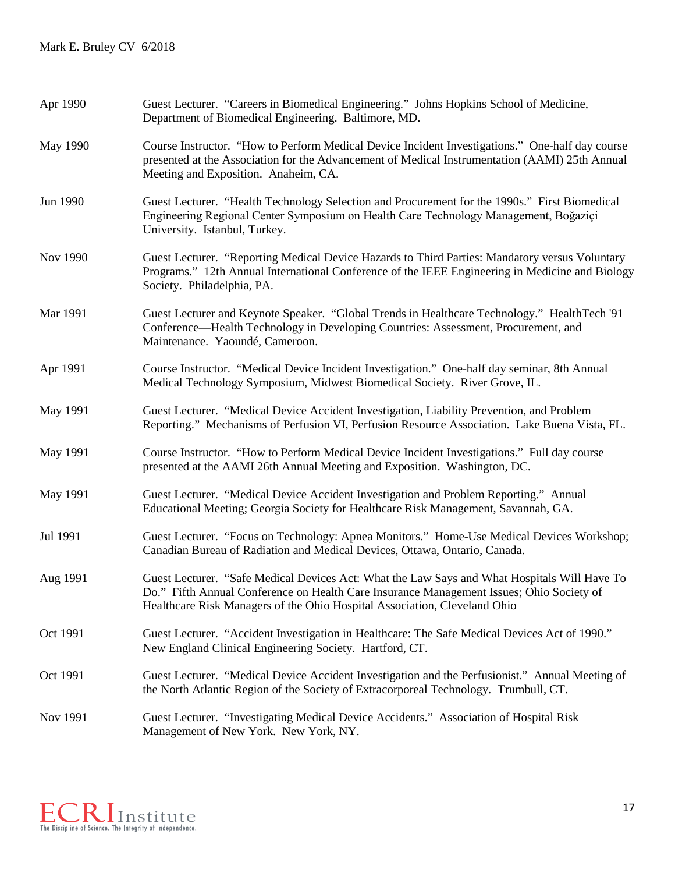| Apr 1990 | Guest Lecturer. "Careers in Biomedical Engineering." Johns Hopkins School of Medicine,<br>Department of Biomedical Engineering. Baltimore, MD.                                                                                                                        |
|----------|-----------------------------------------------------------------------------------------------------------------------------------------------------------------------------------------------------------------------------------------------------------------------|
| May 1990 | Course Instructor. "How to Perform Medical Device Incident Investigations." One-half day course<br>presented at the Association for the Advancement of Medical Instrumentation (AAMI) 25th Annual<br>Meeting and Exposition. Anaheim, CA.                             |
| Jun 1990 | Guest Lecturer. "Health Technology Selection and Procurement for the 1990s." First Biomedical<br>Engineering Regional Center Symposium on Health Care Technology Management, Boğaziçi<br>University. Istanbul, Turkey.                                                |
| Nov 1990 | Guest Lecturer. "Reporting Medical Device Hazards to Third Parties: Mandatory versus Voluntary<br>Programs." 12th Annual International Conference of the IEEE Engineering in Medicine and Biology<br>Society. Philadelphia, PA.                                       |
| Mar 1991 | Guest Lecturer and Keynote Speaker. "Global Trends in Healthcare Technology." HealthTech '91<br>Conference—Health Technology in Developing Countries: Assessment, Procurement, and<br>Maintenance. Yaoundé, Cameroon.                                                 |
| Apr 1991 | Course Instructor. "Medical Device Incident Investigation." One-half day seminar, 8th Annual<br>Medical Technology Symposium, Midwest Biomedical Society. River Grove, IL.                                                                                            |
| May 1991 | Guest Lecturer. "Medical Device Accident Investigation, Liability Prevention, and Problem<br>Reporting." Mechanisms of Perfusion VI, Perfusion Resource Association. Lake Buena Vista, FL.                                                                            |
| May 1991 | Course Instructor. "How to Perform Medical Device Incident Investigations." Full day course<br>presented at the AAMI 26th Annual Meeting and Exposition. Washington, DC.                                                                                              |
| May 1991 | Guest Lecturer. "Medical Device Accident Investigation and Problem Reporting." Annual<br>Educational Meeting; Georgia Society for Healthcare Risk Management, Savannah, GA.                                                                                           |
| Jul 1991 | Guest Lecturer. "Focus on Technology: Apnea Monitors." Home-Use Medical Devices Workshop;<br>Canadian Bureau of Radiation and Medical Devices, Ottawa, Ontario, Canada.                                                                                               |
| Aug 1991 | Guest Lecturer. "Safe Medical Devices Act: What the Law Says and What Hospitals Will Have To<br>Do." Fifth Annual Conference on Health Care Insurance Management Issues; Ohio Society of<br>Healthcare Risk Managers of the Ohio Hospital Association, Cleveland Ohio |
| Oct 1991 | Guest Lecturer. "Accident Investigation in Healthcare: The Safe Medical Devices Act of 1990."<br>New England Clinical Engineering Society. Hartford, CT.                                                                                                              |
| Oct 1991 | Guest Lecturer. "Medical Device Accident Investigation and the Perfusionist." Annual Meeting of<br>the North Atlantic Region of the Society of Extracorporeal Technology. Trumbull, CT.                                                                               |
| Nov 1991 | Guest Lecturer. "Investigating Medical Device Accidents." Association of Hospital Risk<br>Management of New York. New York, NY.                                                                                                                                       |

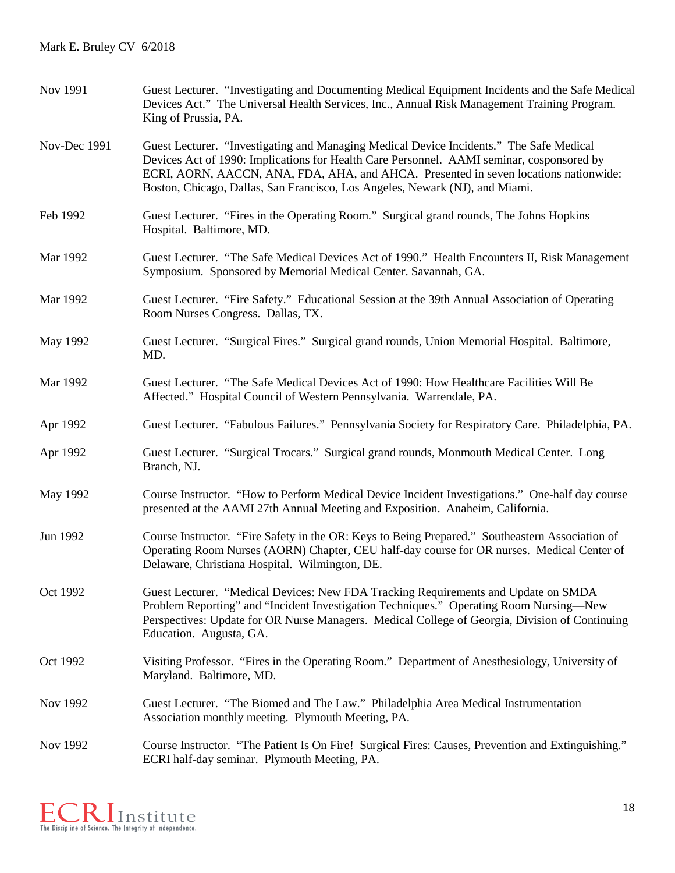| Nov 1991     | Guest Lecturer. "Investigating and Documenting Medical Equipment Incidents and the Safe Medical<br>Devices Act." The Universal Health Services, Inc., Annual Risk Management Training Program.<br>King of Prussia, PA.                                                                                                                                       |
|--------------|--------------------------------------------------------------------------------------------------------------------------------------------------------------------------------------------------------------------------------------------------------------------------------------------------------------------------------------------------------------|
| Nov-Dec 1991 | Guest Lecturer. "Investigating and Managing Medical Device Incidents." The Safe Medical<br>Devices Act of 1990: Implications for Health Care Personnel. AAMI seminar, cosponsored by<br>ECRI, AORN, AACCN, ANA, FDA, AHA, and AHCA. Presented in seven locations nationwide:<br>Boston, Chicago, Dallas, San Francisco, Los Angeles, Newark (NJ), and Miami. |
| Feb 1992     | Guest Lecturer. "Fires in the Operating Room." Surgical grand rounds, The Johns Hopkins<br>Hospital. Baltimore, MD.                                                                                                                                                                                                                                          |
| Mar 1992     | Guest Lecturer. "The Safe Medical Devices Act of 1990." Health Encounters II, Risk Management<br>Symposium. Sponsored by Memorial Medical Center. Savannah, GA.                                                                                                                                                                                              |
| Mar 1992     | Guest Lecturer. "Fire Safety." Educational Session at the 39th Annual Association of Operating<br>Room Nurses Congress. Dallas, TX.                                                                                                                                                                                                                          |
| May 1992     | Guest Lecturer. "Surgical Fires." Surgical grand rounds, Union Memorial Hospital. Baltimore,<br>MD.                                                                                                                                                                                                                                                          |
| Mar 1992     | Guest Lecturer. "The Safe Medical Devices Act of 1990: How Healthcare Facilities Will Be<br>Affected." Hospital Council of Western Pennsylvania. Warrendale, PA.                                                                                                                                                                                             |
| Apr 1992     | Guest Lecturer. "Fabulous Failures." Pennsylvania Society for Respiratory Care. Philadelphia, PA.                                                                                                                                                                                                                                                            |
| Apr 1992     | Guest Lecturer. "Surgical Trocars." Surgical grand rounds, Monmouth Medical Center. Long<br>Branch, NJ.                                                                                                                                                                                                                                                      |
| May 1992     | Course Instructor. "How to Perform Medical Device Incident Investigations." One-half day course<br>presented at the AAMI 27th Annual Meeting and Exposition. Anaheim, California.                                                                                                                                                                            |
| Jun 1992     | Course Instructor. "Fire Safety in the OR: Keys to Being Prepared." Southeastern Association of<br>Operating Room Nurses (AORN) Chapter, CEU half-day course for OR nurses. Medical Center of<br>Delaware, Christiana Hospital. Wilmington, DE.                                                                                                              |
| Oct 1992     | Guest Lecturer. "Medical Devices: New FDA Tracking Requirements and Update on SMDA<br>Problem Reporting" and "Incident Investigation Techniques." Operating Room Nursing-New<br>Perspectives: Update for OR Nurse Managers. Medical College of Georgia, Division of Continuing<br>Education. Augusta, GA.                                                    |
| Oct 1992     | Visiting Professor. "Fires in the Operating Room." Department of Anesthesiology, University of<br>Maryland. Baltimore, MD.                                                                                                                                                                                                                                   |
| Nov 1992     | Guest Lecturer. "The Biomed and The Law." Philadelphia Area Medical Instrumentation<br>Association monthly meeting. Plymouth Meeting, PA.                                                                                                                                                                                                                    |
| Nov 1992     | Course Instructor. "The Patient Is On Fire! Surgical Fires: Causes, Prevention and Extinguishing."<br>ECRI half-day seminar. Plymouth Meeting, PA.                                                                                                                                                                                                           |

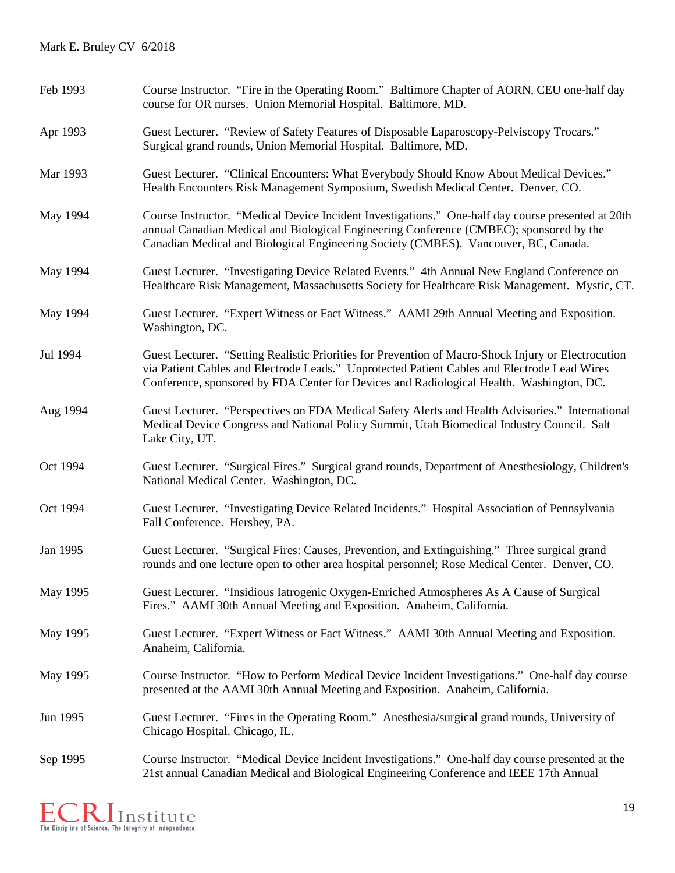| Feb 1993 | Course Instructor. "Fire in the Operating Room." Baltimore Chapter of AORN, CEU one-half day<br>course for OR nurses. Union Memorial Hospital. Baltimore, MD.                                                                                                                                   |
|----------|-------------------------------------------------------------------------------------------------------------------------------------------------------------------------------------------------------------------------------------------------------------------------------------------------|
| Apr 1993 | Guest Lecturer. "Review of Safety Features of Disposable Laparoscopy-Pelviscopy Trocars."<br>Surgical grand rounds, Union Memorial Hospital. Baltimore, MD.                                                                                                                                     |
| Mar 1993 | Guest Lecturer. "Clinical Encounters: What Everybody Should Know About Medical Devices."<br>Health Encounters Risk Management Symposium, Swedish Medical Center. Denver, CO.                                                                                                                    |
| May 1994 | Course Instructor. "Medical Device Incident Investigations." One-half day course presented at 20th<br>annual Canadian Medical and Biological Engineering Conference (CMBEC); sponsored by the<br>Canadian Medical and Biological Engineering Society (CMBES). Vancouver, BC, Canada.            |
| May 1994 | Guest Lecturer. "Investigating Device Related Events." 4th Annual New England Conference on<br>Healthcare Risk Management, Massachusetts Society for Healthcare Risk Management. Mystic, CT.                                                                                                    |
| May 1994 | Guest Lecturer. "Expert Witness or Fact Witness." AAMI 29th Annual Meeting and Exposition.<br>Washington, DC.                                                                                                                                                                                   |
| Jul 1994 | Guest Lecturer. "Setting Realistic Priorities for Prevention of Macro-Shock Injury or Electrocution<br>via Patient Cables and Electrode Leads." Unprotected Patient Cables and Electrode Lead Wires<br>Conference, sponsored by FDA Center for Devices and Radiological Health. Washington, DC. |
| Aug 1994 | Guest Lecturer. "Perspectives on FDA Medical Safety Alerts and Health Advisories." International<br>Medical Device Congress and National Policy Summit, Utah Biomedical Industry Council. Salt<br>Lake City, UT.                                                                                |
| Oct 1994 | Guest Lecturer. "Surgical Fires." Surgical grand rounds, Department of Anesthesiology, Children's<br>National Medical Center. Washington, DC.                                                                                                                                                   |
| Oct 1994 | Guest Lecturer. "Investigating Device Related Incidents." Hospital Association of Pennsylvania<br>Fall Conference. Hershey, PA.                                                                                                                                                                 |
| Jan 1995 | Guest Lecturer. "Surgical Fires: Causes, Prevention, and Extinguishing." Three surgical grand<br>rounds and one lecture open to other area hospital personnel; Rose Medical Center. Denver, CO.                                                                                                 |
| May 1995 | Guest Lecturer. "Insidious Iatrogenic Oxygen-Enriched Atmospheres As A Cause of Surgical<br>Fires." AAMI 30th Annual Meeting and Exposition. Anaheim, California.                                                                                                                               |
| May 1995 | Guest Lecturer. "Expert Witness or Fact Witness." AAMI 30th Annual Meeting and Exposition.<br>Anaheim, California.                                                                                                                                                                              |
| May 1995 | Course Instructor. "How to Perform Medical Device Incident Investigations." One-half day course<br>presented at the AAMI 30th Annual Meeting and Exposition. Anaheim, California.                                                                                                               |
| Jun 1995 | Guest Lecturer. "Fires in the Operating Room." Anesthesia/surgical grand rounds, University of<br>Chicago Hospital. Chicago, IL.                                                                                                                                                                |
| Sep 1995 | Course Instructor. "Medical Device Incident Investigations." One-half day course presented at the<br>21st annual Canadian Medical and Biological Engineering Conference and IEEE 17th Annual                                                                                                    |

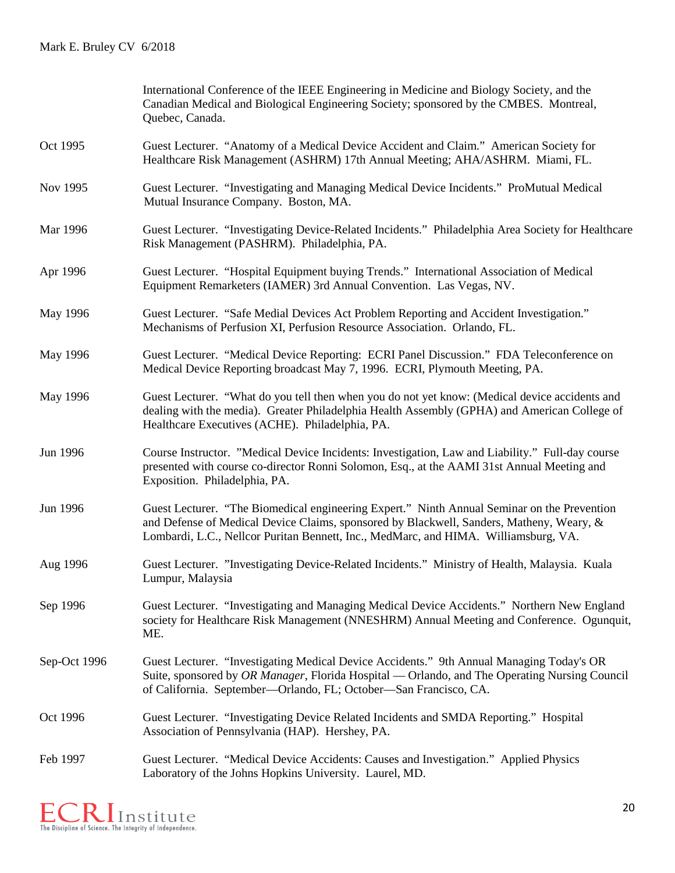|              | International Conference of the IEEE Engineering in Medicine and Biology Society, and the<br>Canadian Medical and Biological Engineering Society; sponsored by the CMBES. Montreal,<br>Quebec, Canada.                                                                         |
|--------------|--------------------------------------------------------------------------------------------------------------------------------------------------------------------------------------------------------------------------------------------------------------------------------|
| Oct 1995     | Guest Lecturer. "Anatomy of a Medical Device Accident and Claim." American Society for<br>Healthcare Risk Management (ASHRM) 17th Annual Meeting; AHA/ASHRM. Miami, FL.                                                                                                        |
| Nov 1995     | Guest Lecturer. "Investigating and Managing Medical Device Incidents." ProMutual Medical<br>Mutual Insurance Company. Boston, MA.                                                                                                                                              |
| Mar 1996     | Guest Lecturer. "Investigating Device-Related Incidents." Philadelphia Area Society for Healthcare<br>Risk Management (PASHRM). Philadelphia, PA.                                                                                                                              |
| Apr 1996     | Guest Lecturer. "Hospital Equipment buying Trends." International Association of Medical<br>Equipment Remarketers (IAMER) 3rd Annual Convention. Las Vegas, NV.                                                                                                                |
| May 1996     | Guest Lecturer. "Safe Medial Devices Act Problem Reporting and Accident Investigation."<br>Mechanisms of Perfusion XI, Perfusion Resource Association. Orlando, FL.                                                                                                            |
| May 1996     | Guest Lecturer. "Medical Device Reporting: ECRI Panel Discussion." FDA Teleconference on<br>Medical Device Reporting broadcast May 7, 1996. ECRI, Plymouth Meeting, PA.                                                                                                        |
| May 1996     | Guest Lecturer. "What do you tell then when you do not yet know: (Medical device accidents and<br>dealing with the media). Greater Philadelphia Health Assembly (GPHA) and American College of<br>Healthcare Executives (ACHE). Philadelphia, PA.                              |
| Jun 1996     | Course Instructor. "Medical Device Incidents: Investigation, Law and Liability." Full-day course<br>presented with course co-director Ronni Solomon, Esq., at the AAMI 31st Annual Meeting and<br>Exposition. Philadelphia, PA.                                                |
| Jun 1996     | Guest Lecturer. "The Biomedical engineering Expert." Ninth Annual Seminar on the Prevention<br>and Defense of Medical Device Claims, sponsored by Blackwell, Sanders, Matheny, Weary, &<br>Lombardi, L.C., Nellcor Puritan Bennett, Inc., MedMarc, and HIMA. Williamsburg, VA. |
| Aug 1996     | Guest Lecturer. "Investigating Device-Related Incidents." Ministry of Health, Malaysia. Kuala<br>Lumpur, Malaysia                                                                                                                                                              |
| Sep 1996     | Guest Lecturer. "Investigating and Managing Medical Device Accidents." Northern New England<br>society for Healthcare Risk Management (NNESHRM) Annual Meeting and Conference. Ogunquit,<br>ME.                                                                                |
| Sep-Oct 1996 | Guest Lecturer. "Investigating Medical Device Accidents." 9th Annual Managing Today's OR<br>Suite, sponsored by OR Manager, Florida Hospital — Orlando, and The Operating Nursing Council<br>of California. September—Orlando, FL; October—San Francisco, CA.                  |
| Oct 1996     | Guest Lecturer. "Investigating Device Related Incidents and SMDA Reporting." Hospital<br>Association of Pennsylvania (HAP). Hershey, PA.                                                                                                                                       |
| Feb 1997     | Guest Lecturer. "Medical Device Accidents: Causes and Investigation." Applied Physics<br>Laboratory of the Johns Hopkins University. Laurel, MD.                                                                                                                               |

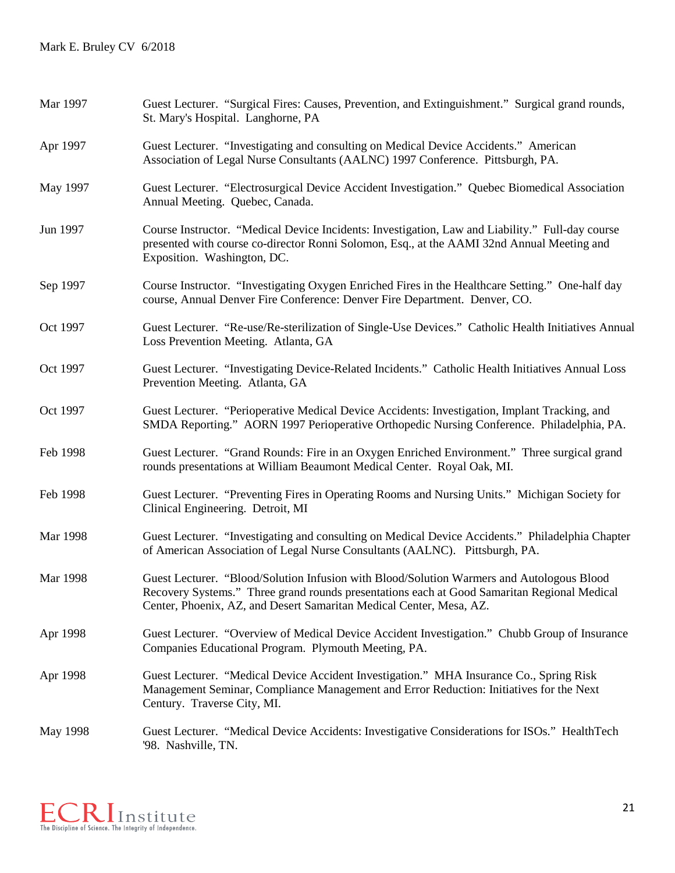| Mar 1997 | Guest Lecturer. "Surgical Fires: Causes, Prevention, and Extinguishment." Surgical grand rounds,<br>St. Mary's Hospital. Langhorne, PA                                                                                                                          |
|----------|-----------------------------------------------------------------------------------------------------------------------------------------------------------------------------------------------------------------------------------------------------------------|
| Apr 1997 | Guest Lecturer. "Investigating and consulting on Medical Device Accidents." American<br>Association of Legal Nurse Consultants (AALNC) 1997 Conference. Pittsburgh, PA.                                                                                         |
| May 1997 | Guest Lecturer. "Electrosurgical Device Accident Investigation." Quebec Biomedical Association<br>Annual Meeting. Quebec, Canada.                                                                                                                               |
| Jun 1997 | Course Instructor. "Medical Device Incidents: Investigation, Law and Liability." Full-day course<br>presented with course co-director Ronni Solomon, Esq., at the AAMI 32nd Annual Meeting and<br>Exposition. Washington, DC.                                   |
| Sep 1997 | Course Instructor. "Investigating Oxygen Enriched Fires in the Healthcare Setting." One-half day<br>course, Annual Denver Fire Conference: Denver Fire Department. Denver, CO.                                                                                  |
| Oct 1997 | Guest Lecturer. "Re-use/Re-sterilization of Single-Use Devices." Catholic Health Initiatives Annual<br>Loss Prevention Meeting. Atlanta, GA                                                                                                                     |
| Oct 1997 | Guest Lecturer. "Investigating Device-Related Incidents." Catholic Health Initiatives Annual Loss<br>Prevention Meeting. Atlanta, GA                                                                                                                            |
| Oct 1997 | Guest Lecturer. "Perioperative Medical Device Accidents: Investigation, Implant Tracking, and<br>SMDA Reporting." AORN 1997 Perioperative Orthopedic Nursing Conference. Philadelphia, PA.                                                                      |
| Feb 1998 | Guest Lecturer. "Grand Rounds: Fire in an Oxygen Enriched Environment." Three surgical grand<br>rounds presentations at William Beaumont Medical Center. Royal Oak, MI.                                                                                         |
| Feb 1998 | Guest Lecturer. "Preventing Fires in Operating Rooms and Nursing Units." Michigan Society for<br>Clinical Engineering. Detroit, MI                                                                                                                              |
| Mar 1998 | Guest Lecturer. "Investigating and consulting on Medical Device Accidents." Philadelphia Chapter<br>of American Association of Legal Nurse Consultants (AALNC). Pittsburgh, PA.                                                                                 |
| Mar 1998 | Guest Lecturer. "Blood/Solution Infusion with Blood/Solution Warmers and Autologous Blood<br>Recovery Systems." Three grand rounds presentations each at Good Samaritan Regional Medical<br>Center, Phoenix, AZ, and Desert Samaritan Medical Center, Mesa, AZ. |
| Apr 1998 | Guest Lecturer. "Overview of Medical Device Accident Investigation." Chubb Group of Insurance<br>Companies Educational Program. Plymouth Meeting, PA.                                                                                                           |
| Apr 1998 | Guest Lecturer. "Medical Device Accident Investigation." MHA Insurance Co., Spring Risk<br>Management Seminar, Compliance Management and Error Reduction: Initiatives for the Next<br>Century. Traverse City, MI.                                               |
| May 1998 | Guest Lecturer. "Medical Device Accidents: Investigative Considerations for ISOs." HealthTech<br>'98. Nashville, TN.                                                                                                                                            |

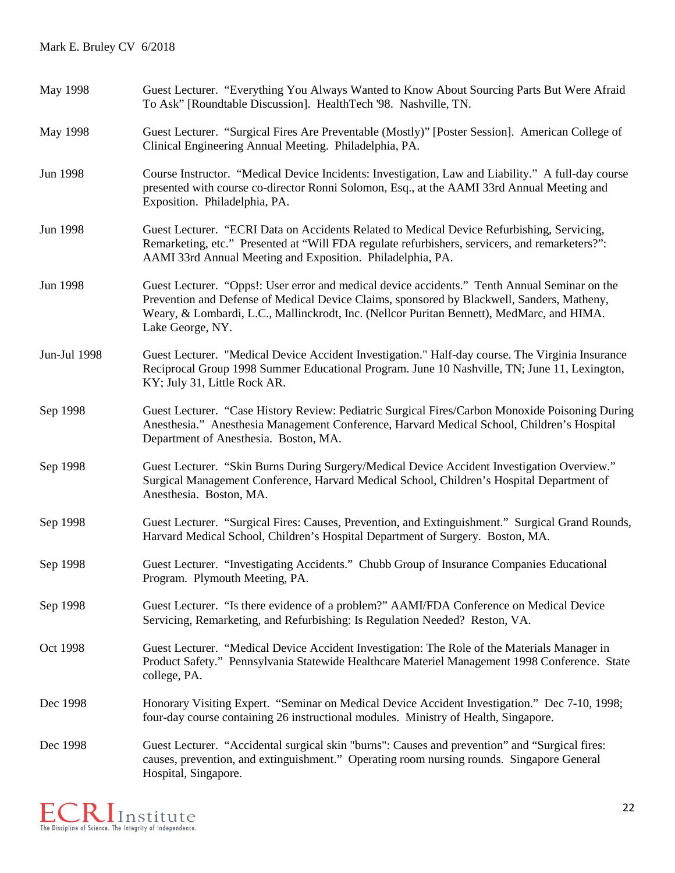| May 1998     | Guest Lecturer. "Everything You Always Wanted to Know About Sourcing Parts But Were Afraid<br>To Ask" [Roundtable Discussion]. HealthTech '98. Nashville, TN.                                                                                                                                                |
|--------------|--------------------------------------------------------------------------------------------------------------------------------------------------------------------------------------------------------------------------------------------------------------------------------------------------------------|
| May 1998     | Guest Lecturer. "Surgical Fires Are Preventable (Mostly)" [Poster Session]. American College of<br>Clinical Engineering Annual Meeting. Philadelphia, PA.                                                                                                                                                    |
| Jun 1998     | Course Instructor. "Medical Device Incidents: Investigation, Law and Liability." A full-day course<br>presented with course co-director Ronni Solomon, Esq., at the AAMI 33rd Annual Meeting and<br>Exposition. Philadelphia, PA.                                                                            |
| Jun 1998     | Guest Lecturer. "ECRI Data on Accidents Related to Medical Device Refurbishing, Servicing,<br>Remarketing, etc." Presented at "Will FDA regulate refurbishers, servicers, and remarketers?":<br>AAMI 33rd Annual Meeting and Exposition. Philadelphia, PA.                                                   |
| Jun 1998     | Guest Lecturer. "Opps!: User error and medical device accidents." Tenth Annual Seminar on the<br>Prevention and Defense of Medical Device Claims, sponsored by Blackwell, Sanders, Matheny,<br>Weary, & Lombardi, L.C., Mallinckrodt, Inc. (Nellcor Puritan Bennett), MedMarc, and HIMA.<br>Lake George, NY. |
| Jun-Jul 1998 | Guest Lecturer. "Medical Device Accident Investigation." Half-day course. The Virginia Insurance<br>Reciprocal Group 1998 Summer Educational Program. June 10 Nashville, TN; June 11, Lexington,<br>KY; July 31, Little Rock AR.                                                                             |
| Sep 1998     | Guest Lecturer. "Case History Review: Pediatric Surgical Fires/Carbon Monoxide Poisoning During<br>Anesthesia." Anesthesia Management Conference, Harvard Medical School, Children's Hospital<br>Department of Anesthesia. Boston, MA.                                                                       |
| Sep 1998     | Guest Lecturer. "Skin Burns During Surgery/Medical Device Accident Investigation Overview."<br>Surgical Management Conference, Harvard Medical School, Children's Hospital Department of<br>Anesthesia. Boston, MA.                                                                                          |
| Sep 1998     | Guest Lecturer. "Surgical Fires: Causes, Prevention, and Extinguishment." Surgical Grand Rounds,<br>Harvard Medical School, Children's Hospital Department of Surgery. Boston, MA.                                                                                                                           |
| Sep 1998     | Guest Lecturer. "Investigating Accidents." Chubb Group of Insurance Companies Educational<br>Program. Plymouth Meeting, PA.                                                                                                                                                                                  |
| Sep 1998     | Guest Lecturer. "Is there evidence of a problem?" AAMI/FDA Conference on Medical Device<br>Servicing, Remarketing, and Refurbishing: Is Regulation Needed? Reston, VA.                                                                                                                                       |
| Oct 1998     | Guest Lecturer. "Medical Device Accident Investigation: The Role of the Materials Manager in<br>Product Safety." Pennsylvania Statewide Healthcare Materiel Management 1998 Conference. State<br>college, PA.                                                                                                |
| Dec 1998     | Honorary Visiting Expert. "Seminar on Medical Device Accident Investigation." Dec 7-10, 1998;<br>four-day course containing 26 instructional modules. Ministry of Health, Singapore.                                                                                                                         |
| Dec 1998     | Guest Lecturer. "Accidental surgical skin "burns": Causes and prevention" and "Surgical fires:<br>causes, prevention, and extinguishment." Operating room nursing rounds. Singapore General<br>Hospital, Singapore.                                                                                          |

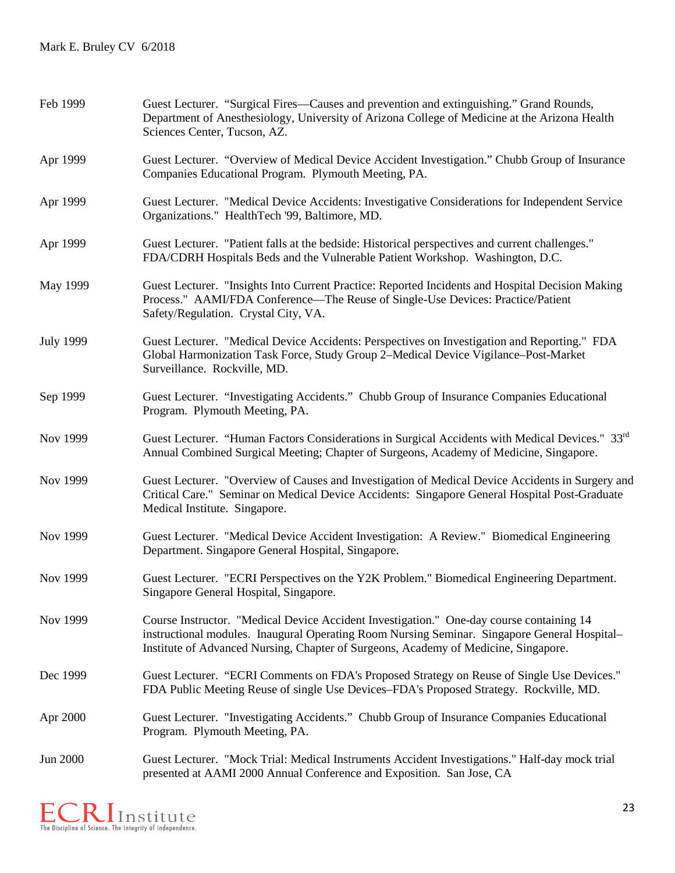| Feb 1999         | Guest Lecturer. "Surgical Fires—Causes and prevention and extinguishing." Grand Rounds,<br>Department of Anesthesiology, University of Arizona College of Medicine at the Arizona Health<br>Sciences Center, Tucson, AZ.                                                        |
|------------------|---------------------------------------------------------------------------------------------------------------------------------------------------------------------------------------------------------------------------------------------------------------------------------|
| Apr 1999         | Guest Lecturer. "Overview of Medical Device Accident Investigation." Chubb Group of Insurance<br>Companies Educational Program. Plymouth Meeting, PA.                                                                                                                           |
| Apr 1999         | Guest Lecturer. "Medical Device Accidents: Investigative Considerations for Independent Service<br>Organizations." HealthTech '99, Baltimore, MD.                                                                                                                               |
| Apr 1999         | Guest Lecturer. "Patient falls at the bedside: Historical perspectives and current challenges."<br>FDA/CDRH Hospitals Beds and the Vulnerable Patient Workshop. Washington, D.C.                                                                                                |
| May 1999         | Guest Lecturer. "Insights Into Current Practice: Reported Incidents and Hospital Decision Making<br>Process." AAMI/FDA Conference—The Reuse of Single-Use Devices: Practice/Patient<br>Safety/Regulation. Crystal City, VA.                                                     |
| <b>July 1999</b> | Guest Lecturer. "Medical Device Accidents: Perspectives on Investigation and Reporting." FDA<br>Global Harmonization Task Force, Study Group 2-Medical Device Vigilance-Post-Market<br>Surveillance. Rockville, MD.                                                             |
| Sep 1999         | Guest Lecturer. "Investigating Accidents." Chubb Group of Insurance Companies Educational<br>Program. Plymouth Meeting, PA.                                                                                                                                                     |
| Nov 1999         | Guest Lecturer. "Human Factors Considerations in Surgical Accidents with Medical Devices." 33rd<br>Annual Combined Surgical Meeting; Chapter of Surgeons, Academy of Medicine, Singapore.                                                                                       |
| Nov 1999         | Guest Lecturer. "Overview of Causes and Investigation of Medical Device Accidents in Surgery and<br>Critical Care." Seminar on Medical Device Accidents: Singapore General Hospital Post-Graduate<br>Medical Institute. Singapore.                                              |
| Nov 1999         | Guest Lecturer. "Medical Device Accident Investigation: A Review." Biomedical Engineering<br>Department. Singapore General Hospital, Singapore.                                                                                                                                 |
| Nov 1999         | Guest Lecturer. "ECRI Perspectives on the Y2K Problem." Biomedical Engineering Department.<br>Singapore General Hospital, Singapore.                                                                                                                                            |
| Nov 1999         | Course Instructor. "Medical Device Accident Investigation." One-day course containing 14<br>instructional modules. Inaugural Operating Room Nursing Seminar. Singapore General Hospital-<br>Institute of Advanced Nursing, Chapter of Surgeons, Academy of Medicine, Singapore. |
| Dec 1999         | Guest Lecturer. "ECRI Comments on FDA's Proposed Strategy on Reuse of Single Use Devices."<br>FDA Public Meeting Reuse of single Use Devices-FDA's Proposed Strategy. Rockville, MD.                                                                                            |
| Apr 2000         | Guest Lecturer. "Investigating Accidents." Chubb Group of Insurance Companies Educational<br>Program. Plymouth Meeting, PA.                                                                                                                                                     |
| <b>Jun 2000</b>  | Guest Lecturer. "Mock Trial: Medical Instruments Accident Investigations." Half-day mock trial<br>presented at AAMI 2000 Annual Conference and Exposition. San Jose, CA                                                                                                         |

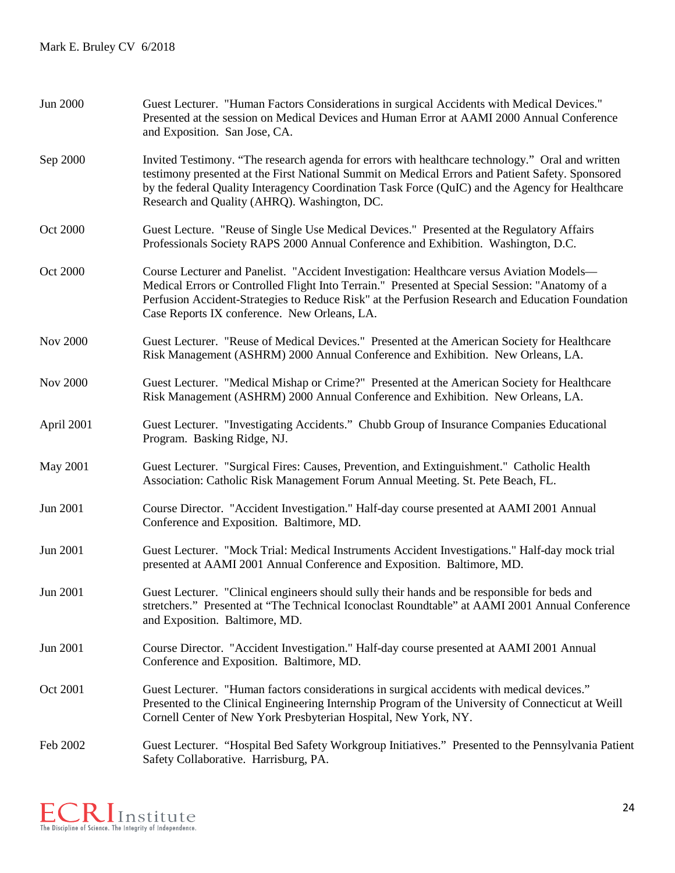| Jun 2000        | Guest Lecturer. "Human Factors Considerations in surgical Accidents with Medical Devices."<br>Presented at the session on Medical Devices and Human Error at AAMI 2000 Annual Conference<br>and Exposition. San Jose, CA.                                                                                                                               |
|-----------------|---------------------------------------------------------------------------------------------------------------------------------------------------------------------------------------------------------------------------------------------------------------------------------------------------------------------------------------------------------|
| Sep 2000        | Invited Testimony. "The research agenda for errors with healthcare technology." Oral and written<br>testimony presented at the First National Summit on Medical Errors and Patient Safety. Sponsored<br>by the federal Quality Interagency Coordination Task Force (QuIC) and the Agency for Healthcare<br>Research and Quality (AHRQ). Washington, DC. |
| Oct 2000        | Guest Lecture. "Reuse of Single Use Medical Devices." Presented at the Regulatory Affairs<br>Professionals Society RAPS 2000 Annual Conference and Exhibition. Washington, D.C.                                                                                                                                                                         |
| Oct 2000        | Course Lecturer and Panelist. "Accident Investigation: Healthcare versus Aviation Models—<br>Medical Errors or Controlled Flight Into Terrain." Presented at Special Session: "Anatomy of a<br>Perfusion Accident-Strategies to Reduce Risk" at the Perfusion Research and Education Foundation<br>Case Reports IX conference. New Orleans, LA.         |
| <b>Nov 2000</b> | Guest Lecturer. "Reuse of Medical Devices." Presented at the American Society for Healthcare<br>Risk Management (ASHRM) 2000 Annual Conference and Exhibition. New Orleans, LA.                                                                                                                                                                         |
| <b>Nov 2000</b> | Guest Lecturer. "Medical Mishap or Crime?" Presented at the American Society for Healthcare<br>Risk Management (ASHRM) 2000 Annual Conference and Exhibition. New Orleans, LA.                                                                                                                                                                          |
| April 2001      | Guest Lecturer. "Investigating Accidents." Chubb Group of Insurance Companies Educational<br>Program. Basking Ridge, NJ.                                                                                                                                                                                                                                |
| <b>May 2001</b> | Guest Lecturer. "Surgical Fires: Causes, Prevention, and Extinguishment." Catholic Health<br>Association: Catholic Risk Management Forum Annual Meeting. St. Pete Beach, FL.                                                                                                                                                                            |
| Jun 2001        | Course Director. "Accident Investigation." Half-day course presented at AAMI 2001 Annual<br>Conference and Exposition. Baltimore, MD.                                                                                                                                                                                                                   |
| Jun 2001        | Guest Lecturer. "Mock Trial: Medical Instruments Accident Investigations." Half-day mock trial<br>presented at AAMI 2001 Annual Conference and Exposition. Baltimore, MD.                                                                                                                                                                               |
| Jun 2001        | Guest Lecturer. "Clinical engineers should sully their hands and be responsible for beds and<br>stretchers." Presented at "The Technical Iconoclast Roundtable" at AAMI 2001 Annual Conference<br>and Exposition. Baltimore, MD.                                                                                                                        |
| Jun 2001        | Course Director. "Accident Investigation." Half-day course presented at AAMI 2001 Annual<br>Conference and Exposition. Baltimore, MD.                                                                                                                                                                                                                   |
| Oct 2001        | Guest Lecturer. "Human factors considerations in surgical accidents with medical devices."<br>Presented to the Clinical Engineering Internship Program of the University of Connecticut at Weill<br>Cornell Center of New York Presbyterian Hospital, New York, NY.                                                                                     |
| Feb 2002        | Guest Lecturer. "Hospital Bed Safety Workgroup Initiatives." Presented to the Pennsylvania Patient<br>Safety Collaborative. Harrisburg, PA.                                                                                                                                                                                                             |

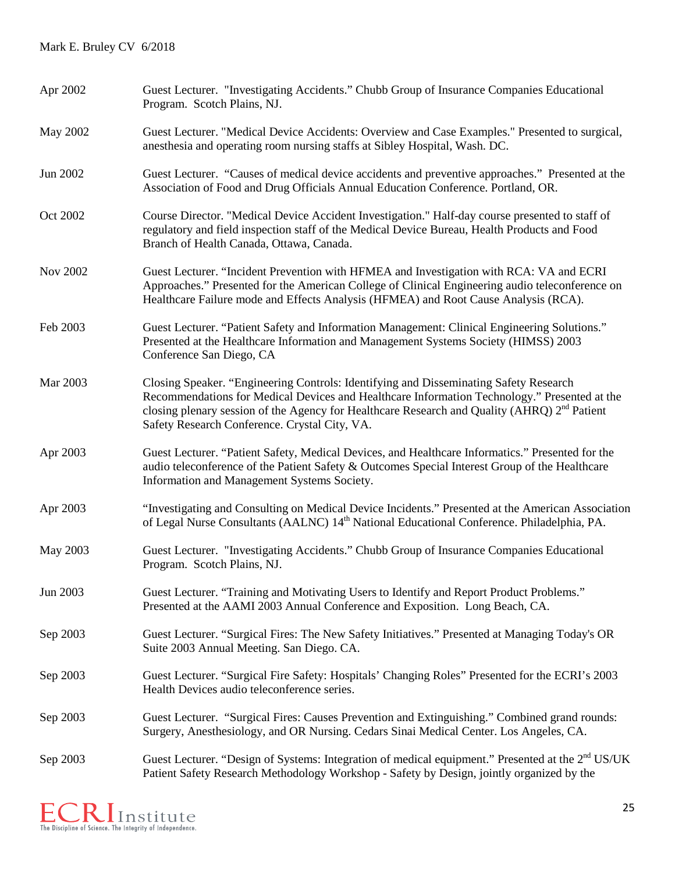| Apr 2002        | Guest Lecturer. "Investigating Accidents." Chubb Group of Insurance Companies Educational<br>Program. Scotch Plains, NJ.                                                                                                                                                                                                                           |
|-----------------|----------------------------------------------------------------------------------------------------------------------------------------------------------------------------------------------------------------------------------------------------------------------------------------------------------------------------------------------------|
| May 2002        | Guest Lecturer. "Medical Device Accidents: Overview and Case Examples." Presented to surgical,<br>anesthesia and operating room nursing staffs at Sibley Hospital, Wash. DC.                                                                                                                                                                       |
| Jun 2002        | Guest Lecturer. "Causes of medical device accidents and preventive approaches." Presented at the<br>Association of Food and Drug Officials Annual Education Conference. Portland, OR.                                                                                                                                                              |
| Oct 2002        | Course Director. "Medical Device Accident Investigation." Half-day course presented to staff of<br>regulatory and field inspection staff of the Medical Device Bureau, Health Products and Food<br>Branch of Health Canada, Ottawa, Canada.                                                                                                        |
| <b>Nov 2002</b> | Guest Lecturer. "Incident Prevention with HFMEA and Investigation with RCA: VA and ECRI<br>Approaches." Presented for the American College of Clinical Engineering audio teleconference on<br>Healthcare Failure mode and Effects Analysis (HFMEA) and Root Cause Analysis (RCA).                                                                  |
| Feb 2003        | Guest Lecturer. "Patient Safety and Information Management: Clinical Engineering Solutions."<br>Presented at the Healthcare Information and Management Systems Society (HIMSS) 2003<br>Conference San Diego, CA                                                                                                                                    |
| Mar 2003        | Closing Speaker. "Engineering Controls: Identifying and Disseminating Safety Research<br>Recommendations for Medical Devices and Healthcare Information Technology." Presented at the<br>closing plenary session of the Agency for Healthcare Research and Quality (AHRQ) 2 <sup>nd</sup> Patient<br>Safety Research Conference. Crystal City, VA. |
| Apr 2003        | Guest Lecturer. "Patient Safety, Medical Devices, and Healthcare Informatics." Presented for the<br>audio teleconference of the Patient Safety & Outcomes Special Interest Group of the Healthcare<br>Information and Management Systems Society.                                                                                                  |
| Apr 2003        | "Investigating and Consulting on Medical Device Incidents." Presented at the American Association<br>of Legal Nurse Consultants (AALNC) 14 <sup>th</sup> National Educational Conference. Philadelphia, PA.                                                                                                                                        |
| May 2003        | Guest Lecturer. "Investigating Accidents." Chubb Group of Insurance Companies Educational<br>Program. Scotch Plains, NJ.                                                                                                                                                                                                                           |
| Jun 2003        | Guest Lecturer. "Training and Motivating Users to Identify and Report Product Problems."<br>Presented at the AAMI 2003 Annual Conference and Exposition. Long Beach, CA.                                                                                                                                                                           |
| Sep 2003        | Guest Lecturer. "Surgical Fires: The New Safety Initiatives." Presented at Managing Today's OR<br>Suite 2003 Annual Meeting. San Diego. CA.                                                                                                                                                                                                        |
| Sep 2003        | Guest Lecturer. "Surgical Fire Safety: Hospitals' Changing Roles" Presented for the ECRI's 2003<br>Health Devices audio teleconference series.                                                                                                                                                                                                     |
| Sep 2003        | Guest Lecturer. "Surgical Fires: Causes Prevention and Extinguishing." Combined grand rounds:<br>Surgery, Anesthesiology, and OR Nursing. Cedars Sinai Medical Center. Los Angeles, CA.                                                                                                                                                            |
| Sep 2003        | Guest Lecturer. "Design of Systems: Integration of medical equipment." Presented at the 2 <sup>nd</sup> US/UK<br>Patient Safety Research Methodology Workshop - Safety by Design, jointly organized by the                                                                                                                                         |

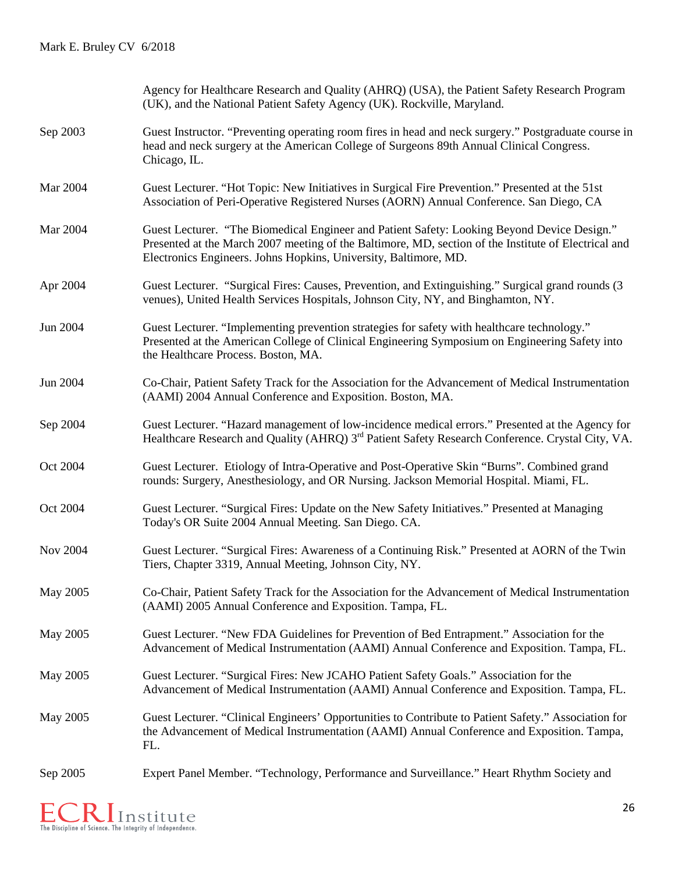|          | Agency for Healthcare Research and Quality (AHRQ) (USA), the Patient Safety Research Program<br>(UK), and the National Patient Safety Agency (UK). Rockville, Maryland.                                                                                                 |
|----------|-------------------------------------------------------------------------------------------------------------------------------------------------------------------------------------------------------------------------------------------------------------------------|
| Sep 2003 | Guest Instructor. "Preventing operating room fires in head and neck surgery." Postgraduate course in<br>head and neck surgery at the American College of Surgeons 89th Annual Clinical Congress.<br>Chicago, IL.                                                        |
| Mar 2004 | Guest Lecturer. "Hot Topic: New Initiatives in Surgical Fire Prevention." Presented at the 51st<br>Association of Peri-Operative Registered Nurses (AORN) Annual Conference. San Diego, CA                                                                              |
| Mar 2004 | Guest Lecturer. "The Biomedical Engineer and Patient Safety: Looking Beyond Device Design."<br>Presented at the March 2007 meeting of the Baltimore, MD, section of the Institute of Electrical and<br>Electronics Engineers. Johns Hopkins, University, Baltimore, MD. |
| Apr 2004 | Guest Lecturer. "Surgical Fires: Causes, Prevention, and Extinguishing." Surgical grand rounds (3)<br>venues), United Health Services Hospitals, Johnson City, NY, and Binghamton, NY.                                                                                  |
| Jun 2004 | Guest Lecturer. "Implementing prevention strategies for safety with healthcare technology."<br>Presented at the American College of Clinical Engineering Symposium on Engineering Safety into<br>the Healthcare Process. Boston, MA.                                    |
| Jun 2004 | Co-Chair, Patient Safety Track for the Association for the Advancement of Medical Instrumentation<br>(AAMI) 2004 Annual Conference and Exposition. Boston, MA.                                                                                                          |
| Sep 2004 | Guest Lecturer. "Hazard management of low-incidence medical errors." Presented at the Agency for<br>Healthcare Research and Quality (AHRQ) 3 <sup>rd</sup> Patient Safety Research Conference. Crystal City, VA.                                                        |
| Oct 2004 | Guest Lecturer. Etiology of Intra-Operative and Post-Operative Skin "Burns". Combined grand<br>rounds: Surgery, Anesthesiology, and OR Nursing. Jackson Memorial Hospital. Miami, FL.                                                                                   |
| Oct 2004 | Guest Lecturer. "Surgical Fires: Update on the New Safety Initiatives." Presented at Managing<br>Today's OR Suite 2004 Annual Meeting. San Diego. CA.                                                                                                                   |
| Nov 2004 | Guest Lecturer. "Surgical Fires: Awareness of a Continuing Risk." Presented at AORN of the Twin<br>Tiers, Chapter 3319, Annual Meeting, Johnson City, NY.                                                                                                               |
| May 2005 | Co-Chair, Patient Safety Track for the Association for the Advancement of Medical Instrumentation<br>(AAMI) 2005 Annual Conference and Exposition. Tampa, FL.                                                                                                           |
| May 2005 | Guest Lecturer. "New FDA Guidelines for Prevention of Bed Entrapment." Association for the<br>Advancement of Medical Instrumentation (AAMI) Annual Conference and Exposition. Tampa, FL.                                                                                |
| May 2005 | Guest Lecturer. "Surgical Fires: New JCAHO Patient Safety Goals." Association for the<br>Advancement of Medical Instrumentation (AAMI) Annual Conference and Exposition. Tampa, FL.                                                                                     |
| May 2005 | Guest Lecturer. "Clinical Engineers' Opportunities to Contribute to Patient Safety." Association for<br>the Advancement of Medical Instrumentation (AAMI) Annual Conference and Exposition. Tampa,<br>FL.                                                               |
| Sep 2005 | Expert Panel Member. "Technology, Performance and Surveillance." Heart Rhythm Society and                                                                                                                                                                               |

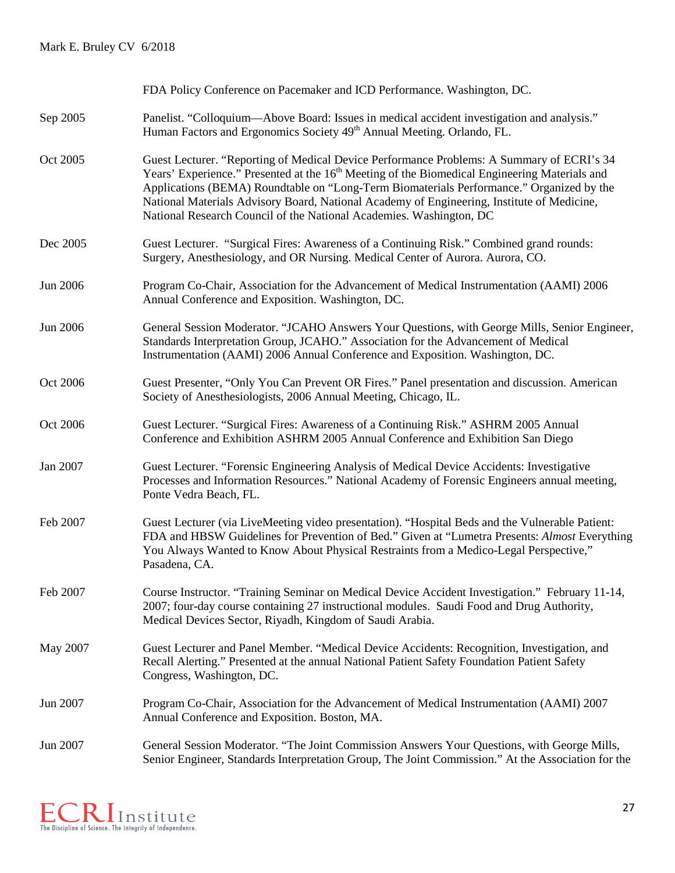|          | FDA Policy Conference on Pacemaker and ICD Performance. Washington, DC.                                                                                                                                                                                                                                                                                                                                                                                                 |
|----------|-------------------------------------------------------------------------------------------------------------------------------------------------------------------------------------------------------------------------------------------------------------------------------------------------------------------------------------------------------------------------------------------------------------------------------------------------------------------------|
| Sep 2005 | Panelist. "Colloquium—Above Board: Issues in medical accident investigation and analysis."<br>Human Factors and Ergonomics Society 49 <sup>th</sup> Annual Meeting. Orlando, FL.                                                                                                                                                                                                                                                                                        |
| Oct 2005 | Guest Lecturer. "Reporting of Medical Device Performance Problems: A Summary of ECRI's 34<br>Years' Experience." Presented at the 16 <sup>th</sup> Meeting of the Biomedical Engineering Materials and<br>Applications (BEMA) Roundtable on "Long-Term Biomaterials Performance." Organized by the<br>National Materials Advisory Board, National Academy of Engineering, Institute of Medicine,<br>National Research Council of the National Academies. Washington, DC |
| Dec 2005 | Guest Lecturer. "Surgical Fires: Awareness of a Continuing Risk." Combined grand rounds:<br>Surgery, Anesthesiology, and OR Nursing. Medical Center of Aurora. Aurora, CO.                                                                                                                                                                                                                                                                                              |
| Jun 2006 | Program Co-Chair, Association for the Advancement of Medical Instrumentation (AAMI) 2006<br>Annual Conference and Exposition. Washington, DC.                                                                                                                                                                                                                                                                                                                           |
| Jun 2006 | General Session Moderator. "JCAHO Answers Your Questions, with George Mills, Senior Engineer,<br>Standards Interpretation Group, JCAHO." Association for the Advancement of Medical<br>Instrumentation (AAMI) 2006 Annual Conference and Exposition. Washington, DC.                                                                                                                                                                                                    |
| Oct 2006 | Guest Presenter, "Only You Can Prevent OR Fires." Panel presentation and discussion. American<br>Society of Anesthesiologists, 2006 Annual Meeting, Chicago, IL.                                                                                                                                                                                                                                                                                                        |
| Oct 2006 | Guest Lecturer. "Surgical Fires: Awareness of a Continuing Risk." ASHRM 2005 Annual<br>Conference and Exhibition ASHRM 2005 Annual Conference and Exhibition San Diego                                                                                                                                                                                                                                                                                                  |
| Jan 2007 | Guest Lecturer. "Forensic Engineering Analysis of Medical Device Accidents: Investigative<br>Processes and Information Resources." National Academy of Forensic Engineers annual meeting,<br>Ponte Vedra Beach, FL.                                                                                                                                                                                                                                                     |
| Feb 2007 | Guest Lecturer (via LiveMeeting video presentation). "Hospital Beds and the Vulnerable Patient:<br>FDA and HBSW Guidelines for Prevention of Bed." Given at "Lumetra Presents: Almost Everything<br>You Always Wanted to Know About Physical Restraints from a Medico-Legal Perspective,"<br>Pasadena, CA.                                                                                                                                                              |
| Feb 2007 | Course Instructor. "Training Seminar on Medical Device Accident Investigation." February 11-14,<br>2007; four-day course containing 27 instructional modules. Saudi Food and Drug Authority,<br>Medical Devices Sector, Riyadh, Kingdom of Saudi Arabia.                                                                                                                                                                                                                |
| May 2007 | Guest Lecturer and Panel Member. "Medical Device Accidents: Recognition, Investigation, and<br>Recall Alerting." Presented at the annual National Patient Safety Foundation Patient Safety<br>Congress, Washington, DC.                                                                                                                                                                                                                                                 |
| Jun 2007 | Program Co-Chair, Association for the Advancement of Medical Instrumentation (AAMI) 2007<br>Annual Conference and Exposition. Boston, MA.                                                                                                                                                                                                                                                                                                                               |
| Jun 2007 | General Session Moderator. "The Joint Commission Answers Your Questions, with George Mills,<br>Senior Engineer, Standards Interpretation Group, The Joint Commission." At the Association for the                                                                                                                                                                                                                                                                       |

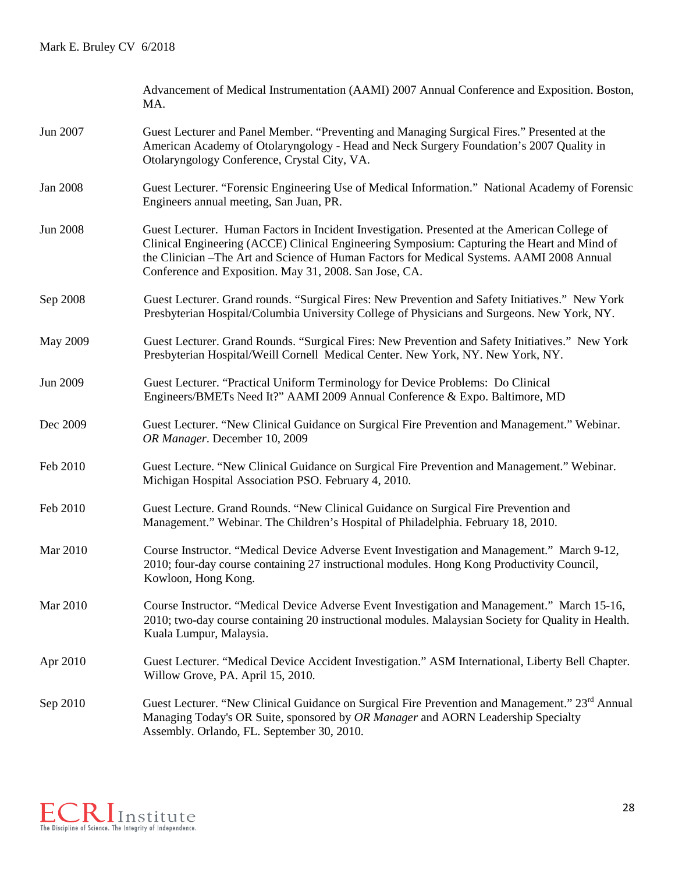|                 | Advancement of Medical Instrumentation (AAMI) 2007 Annual Conference and Exposition. Boston,<br>MA.                                                                                                                                                                                                                                                  |
|-----------------|------------------------------------------------------------------------------------------------------------------------------------------------------------------------------------------------------------------------------------------------------------------------------------------------------------------------------------------------------|
| Jun 2007        | Guest Lecturer and Panel Member. "Preventing and Managing Surgical Fires." Presented at the<br>American Academy of Otolaryngology - Head and Neck Surgery Foundation's 2007 Quality in<br>Otolaryngology Conference, Crystal City, VA.                                                                                                               |
| <b>Jan 2008</b> | Guest Lecturer. "Forensic Engineering Use of Medical Information." National Academy of Forensic<br>Engineers annual meeting, San Juan, PR.                                                                                                                                                                                                           |
| <b>Jun 2008</b> | Guest Lecturer. Human Factors in Incident Investigation. Presented at the American College of<br>Clinical Engineering (ACCE) Clinical Engineering Symposium: Capturing the Heart and Mind of<br>the Clinician - The Art and Science of Human Factors for Medical Systems. AAMI 2008 Annual<br>Conference and Exposition. May 31, 2008. San Jose, CA. |
| Sep 2008        | Guest Lecturer. Grand rounds. "Surgical Fires: New Prevention and Safety Initiatives." New York<br>Presbyterian Hospital/Columbia University College of Physicians and Surgeons. New York, NY.                                                                                                                                                       |
| May 2009        | Guest Lecturer. Grand Rounds. "Surgical Fires: New Prevention and Safety Initiatives." New York<br>Presbyterian Hospital/Weill Cornell Medical Center. New York, NY. New York, NY.                                                                                                                                                                   |
| Jun 2009        | Guest Lecturer. "Practical Uniform Terminology for Device Problems: Do Clinical<br>Engineers/BMETs Need It?" AAMI 2009 Annual Conference & Expo. Baltimore, MD                                                                                                                                                                                       |
| Dec 2009        | Guest Lecturer. "New Clinical Guidance on Surgical Fire Prevention and Management." Webinar.<br>OR Manager. December 10, 2009                                                                                                                                                                                                                        |
| Feb 2010        | Guest Lecture. "New Clinical Guidance on Surgical Fire Prevention and Management." Webinar.<br>Michigan Hospital Association PSO. February 4, 2010.                                                                                                                                                                                                  |
| Feb 2010        | Guest Lecture. Grand Rounds. "New Clinical Guidance on Surgical Fire Prevention and<br>Management." Webinar. The Children's Hospital of Philadelphia. February 18, 2010.                                                                                                                                                                             |
| Mar 2010        | Course Instructor. "Medical Device Adverse Event Investigation and Management." March 9-12,<br>2010; four-day course containing 27 instructional modules. Hong Kong Productivity Council,<br>Kowloon, Hong Kong.                                                                                                                                     |
| Mar 2010        | Course Instructor. "Medical Device Adverse Event Investigation and Management." March 15-16,<br>2010; two-day course containing 20 instructional modules. Malaysian Society for Quality in Health.<br>Kuala Lumpur, Malaysia.                                                                                                                        |
| Apr 2010        | Guest Lecturer. "Medical Device Accident Investigation." ASM International, Liberty Bell Chapter.<br>Willow Grove, PA. April 15, 2010.                                                                                                                                                                                                               |
| Sep 2010        | Guest Lecturer. "New Clinical Guidance on Surgical Fire Prevention and Management." 23 <sup>rd</sup> Annual<br>Managing Today's OR Suite, sponsored by OR Manager and AORN Leadership Specialty<br>Assembly. Orlando, FL. September 30, 2010.                                                                                                        |

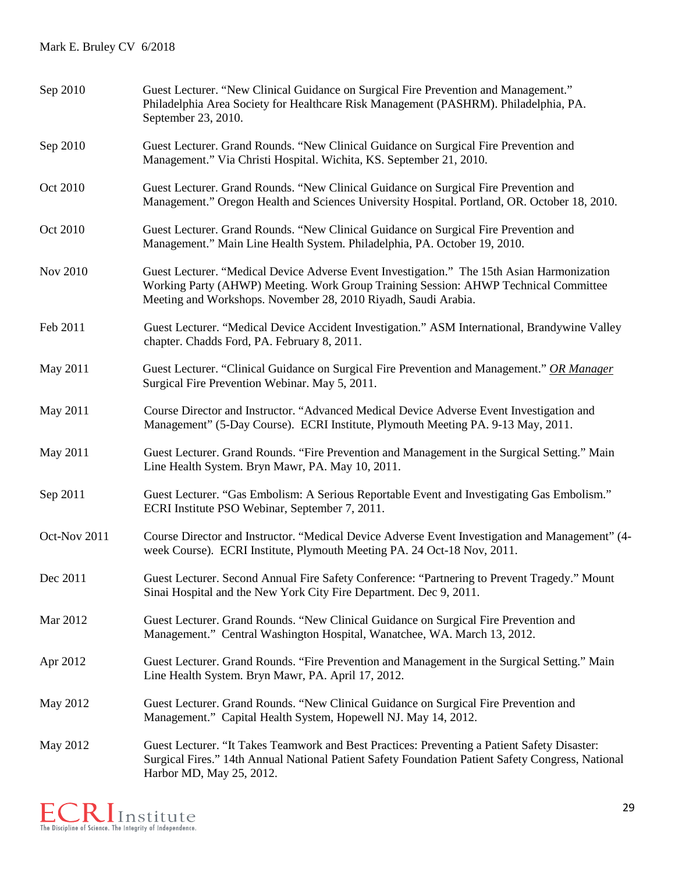| Sep 2010     | Guest Lecturer. "New Clinical Guidance on Surgical Fire Prevention and Management."<br>Philadelphia Area Society for Healthcare Risk Management (PASHRM). Philadelphia, PA.<br>September 23, 2010.                                                  |
|--------------|-----------------------------------------------------------------------------------------------------------------------------------------------------------------------------------------------------------------------------------------------------|
| Sep 2010     | Guest Lecturer. Grand Rounds. "New Clinical Guidance on Surgical Fire Prevention and<br>Management." Via Christi Hospital. Wichita, KS. September 21, 2010.                                                                                         |
| Oct 2010     | Guest Lecturer. Grand Rounds. "New Clinical Guidance on Surgical Fire Prevention and<br>Management." Oregon Health and Sciences University Hospital. Portland, OR. October 18, 2010.                                                                |
| Oct 2010     | Guest Lecturer. Grand Rounds. "New Clinical Guidance on Surgical Fire Prevention and<br>Management." Main Line Health System. Philadelphia, PA. October 19, 2010.                                                                                   |
| Nov 2010     | Guest Lecturer. "Medical Device Adverse Event Investigation." The 15th Asian Harmonization<br>Working Party (AHWP) Meeting. Work Group Training Session: AHWP Technical Committee<br>Meeting and Workshops. November 28, 2010 Riyadh, Saudi Arabia. |
| Feb 2011     | Guest Lecturer. "Medical Device Accident Investigation." ASM International, Brandywine Valley<br>chapter. Chadds Ford, PA. February 8, 2011.                                                                                                        |
| May 2011     | Guest Lecturer. "Clinical Guidance on Surgical Fire Prevention and Management." OR Manager<br>Surgical Fire Prevention Webinar. May 5, 2011.                                                                                                        |
| May 2011     | Course Director and Instructor. "Advanced Medical Device Adverse Event Investigation and<br>Management" (5-Day Course). ECRI Institute, Plymouth Meeting PA. 9-13 May, 2011.                                                                        |
| May 2011     | Guest Lecturer. Grand Rounds. "Fire Prevention and Management in the Surgical Setting." Main<br>Line Health System. Bryn Mawr, PA. May 10, 2011.                                                                                                    |
| Sep 2011     | Guest Lecturer. "Gas Embolism: A Serious Reportable Event and Investigating Gas Embolism."<br>ECRI Institute PSO Webinar, September 7, 2011.                                                                                                        |
| Oct-Nov 2011 | Course Director and Instructor. "Medical Device Adverse Event Investigation and Management" (4-<br>week Course). ECRI Institute, Plymouth Meeting PA. 24 Oct-18 Nov, 2011.                                                                          |
| Dec 2011     | Guest Lecturer. Second Annual Fire Safety Conference: "Partnering to Prevent Tragedy." Mount<br>Sinai Hospital and the New York City Fire Department. Dec 9, 2011.                                                                                  |
| Mar 2012     | Guest Lecturer. Grand Rounds. "New Clinical Guidance on Surgical Fire Prevention and<br>Management." Central Washington Hospital, Wanatchee, WA. March 13, 2012.                                                                                    |
| Apr 2012     | Guest Lecturer. Grand Rounds. "Fire Prevention and Management in the Surgical Setting." Main<br>Line Health System. Bryn Mawr, PA. April 17, 2012.                                                                                                  |
| May 2012     | Guest Lecturer. Grand Rounds. "New Clinical Guidance on Surgical Fire Prevention and<br>Management." Capital Health System, Hopewell NJ. May 14, 2012.                                                                                              |
| May 2012     | Guest Lecturer. "It Takes Teamwork and Best Practices: Preventing a Patient Safety Disaster:<br>Surgical Fires." 14th Annual National Patient Safety Foundation Patient Safety Congress, National<br>Harbor MD, May 25, 2012.                       |

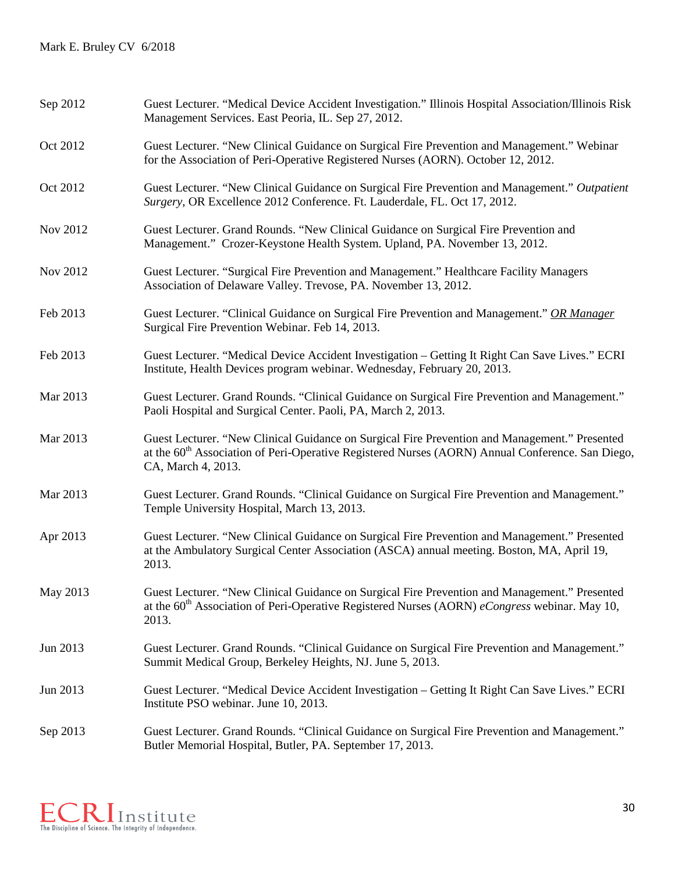| Sep 2012 | Guest Lecturer. "Medical Device Accident Investigation." Illinois Hospital Association/Illinois Risk<br>Management Services. East Peoria, IL. Sep 27, 2012.                                                                         |
|----------|-------------------------------------------------------------------------------------------------------------------------------------------------------------------------------------------------------------------------------------|
| Oct 2012 | Guest Lecturer. "New Clinical Guidance on Surgical Fire Prevention and Management." Webinar<br>for the Association of Peri-Operative Registered Nurses (AORN). October 12, 2012.                                                    |
| Oct 2012 | Guest Lecturer. "New Clinical Guidance on Surgical Fire Prevention and Management." Outpatient<br>Surgery, OR Excellence 2012 Conference. Ft. Lauderdale, FL. Oct 17, 2012.                                                         |
| Nov 2012 | Guest Lecturer. Grand Rounds. "New Clinical Guidance on Surgical Fire Prevention and<br>Management." Crozer-Keystone Health System. Upland, PA. November 13, 2012.                                                                  |
| Nov 2012 | Guest Lecturer. "Surgical Fire Prevention and Management." Healthcare Facility Managers<br>Association of Delaware Valley. Trevose, PA. November 13, 2012.                                                                          |
| Feb 2013 | Guest Lecturer. "Clinical Guidance on Surgical Fire Prevention and Management." OR Manager<br>Surgical Fire Prevention Webinar. Feb 14, 2013.                                                                                       |
| Feb 2013 | Guest Lecturer. "Medical Device Accident Investigation - Getting It Right Can Save Lives." ECRI<br>Institute, Health Devices program webinar. Wednesday, February 20, 2013.                                                         |
| Mar 2013 | Guest Lecturer. Grand Rounds. "Clinical Guidance on Surgical Fire Prevention and Management."<br>Paoli Hospital and Surgical Center. Paoli, PA, March 2, 2013.                                                                      |
| Mar 2013 | Guest Lecturer. "New Clinical Guidance on Surgical Fire Prevention and Management." Presented<br>at the 60 <sup>th</sup> Association of Peri-Operative Registered Nurses (AORN) Annual Conference. San Diego,<br>CA, March 4, 2013. |
| Mar 2013 | Guest Lecturer. Grand Rounds. "Clinical Guidance on Surgical Fire Prevention and Management."<br>Temple University Hospital, March 13, 2013.                                                                                        |
| Apr 2013 | Guest Lecturer. "New Clinical Guidance on Surgical Fire Prevention and Management." Presented<br>at the Ambulatory Surgical Center Association (ASCA) annual meeting. Boston, MA, April 19,<br>2013.                                |
| May 2013 | Guest Lecturer. "New Clinical Guidance on Surgical Fire Prevention and Management." Presented<br>at the $60th$ Association of Peri-Operative Registered Nurses (AORN) <i>eCongress</i> webinar. May 10,<br>2013.                    |
| Jun 2013 | Guest Lecturer. Grand Rounds. "Clinical Guidance on Surgical Fire Prevention and Management."<br>Summit Medical Group, Berkeley Heights, NJ. June 5, 2013.                                                                          |
| Jun 2013 | Guest Lecturer. "Medical Device Accident Investigation - Getting It Right Can Save Lives." ECRI<br>Institute PSO webinar. June 10, 2013.                                                                                            |
| Sep 2013 | Guest Lecturer. Grand Rounds. "Clinical Guidance on Surgical Fire Prevention and Management."<br>Butler Memorial Hospital, Butler, PA. September 17, 2013.                                                                          |

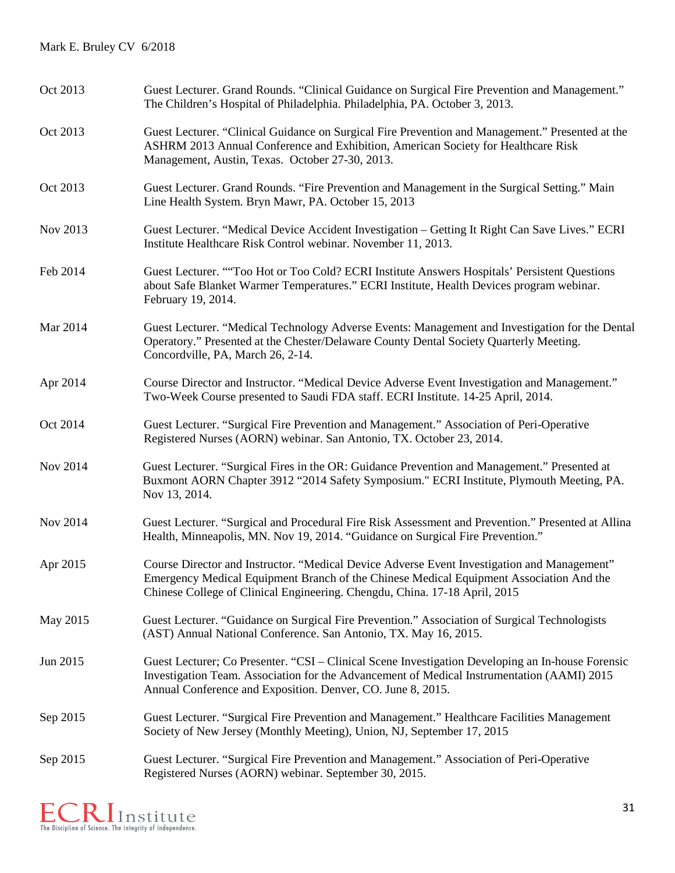| Oct 2013 | Guest Lecturer. Grand Rounds. "Clinical Guidance on Surgical Fire Prevention and Management."<br>The Children's Hospital of Philadelphia. Philadelphia, PA. October 3, 2013.                                                                                         |
|----------|----------------------------------------------------------------------------------------------------------------------------------------------------------------------------------------------------------------------------------------------------------------------|
| Oct 2013 | Guest Lecturer. "Clinical Guidance on Surgical Fire Prevention and Management." Presented at the<br>ASHRM 2013 Annual Conference and Exhibition, American Society for Healthcare Risk<br>Management, Austin, Texas. October 27-30, 2013.                             |
| Oct 2013 | Guest Lecturer. Grand Rounds. "Fire Prevention and Management in the Surgical Setting." Main<br>Line Health System. Bryn Mawr, PA. October 15, 2013                                                                                                                  |
| Nov 2013 | Guest Lecturer. "Medical Device Accident Investigation – Getting It Right Can Save Lives." ECRI<br>Institute Healthcare Risk Control webinar. November 11, 2013.                                                                                                     |
| Feb 2014 | Guest Lecturer. ""Too Hot or Too Cold? ECRI Institute Answers Hospitals' Persistent Questions<br>about Safe Blanket Warmer Temperatures." ECRI Institute, Health Devices program webinar.<br>February 19, 2014.                                                      |
| Mar 2014 | Guest Lecturer. "Medical Technology Adverse Events: Management and Investigation for the Dental<br>Operatory." Presented at the Chester/Delaware County Dental Society Quarterly Meeting.<br>Concordville, PA, March 26, 2-14.                                       |
| Apr 2014 | Course Director and Instructor. "Medical Device Adverse Event Investigation and Management."<br>Two-Week Course presented to Saudi FDA staff. ECRI Institute. 14-25 April, 2014.                                                                                     |
| Oct 2014 | Guest Lecturer. "Surgical Fire Prevention and Management." Association of Peri-Operative<br>Registered Nurses (AORN) webinar. San Antonio, TX. October 23, 2014.                                                                                                     |
| Nov 2014 | Guest Lecturer. "Surgical Fires in the OR: Guidance Prevention and Management." Presented at<br>Buxmont AORN Chapter 3912 "2014 Safety Symposium." ECRI Institute, Plymouth Meeting, PA.<br>Nov 13, 2014.                                                            |
| Nov 2014 | Guest Lecturer. "Surgical and Procedural Fire Risk Assessment and Prevention." Presented at Allina<br>Health, Minneapolis, MN. Nov 19, 2014. "Guidance on Surgical Fire Prevention."                                                                                 |
| Apr 2015 | Course Director and Instructor. "Medical Device Adverse Event Investigation and Management"<br>Emergency Medical Equipment Branch of the Chinese Medical Equipment Association And the<br>Chinese College of Clinical Engineering. Chengdu, China. 17-18 April, 2015 |
| May 2015 | Guest Lecturer. "Guidance on Surgical Fire Prevention." Association of Surgical Technologists<br>(AST) Annual National Conference. San Antonio, TX. May 16, 2015.                                                                                                    |
| Jun 2015 | Guest Lecturer; Co Presenter. "CSI – Clinical Scene Investigation Developing an In-house Forensic<br>Investigation Team. Association for the Advancement of Medical Instrumentation (AAMI) 2015<br>Annual Conference and Exposition. Denver, CO. June 8, 2015.       |
| Sep 2015 | Guest Lecturer. "Surgical Fire Prevention and Management." Healthcare Facilities Management<br>Society of New Jersey (Monthly Meeting), Union, NJ, September 17, 2015                                                                                                |
| Sep 2015 | Guest Lecturer. "Surgical Fire Prevention and Management." Association of Peri-Operative<br>Registered Nurses (AORN) webinar. September 30, 2015.                                                                                                                    |

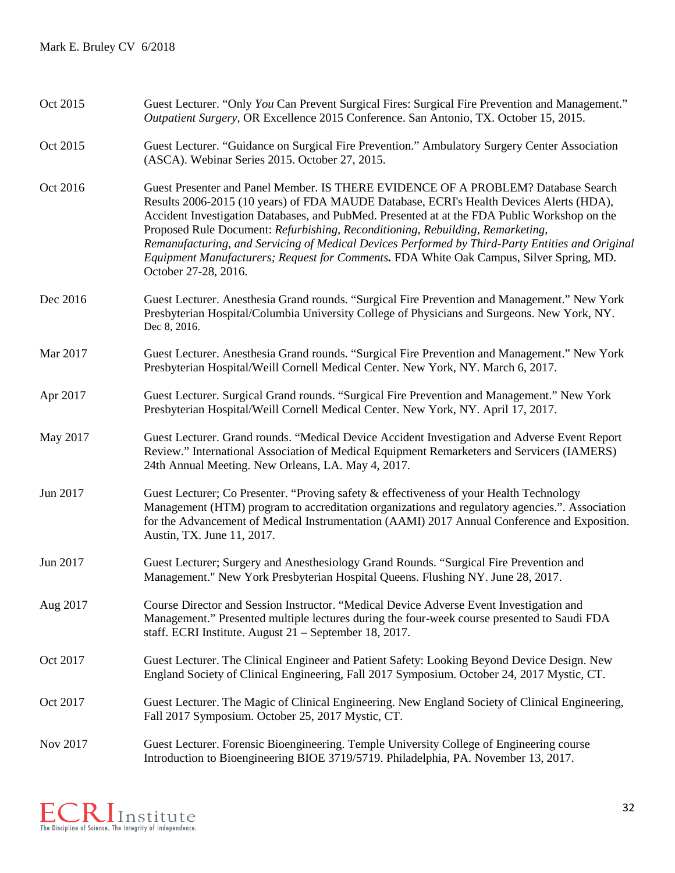| Oct 2015 | Guest Lecturer. "Only You Can Prevent Surgical Fires: Surgical Fire Prevention and Management."<br>Outpatient Surgery, OR Excellence 2015 Conference. San Antonio, TX. October 15, 2015.                                                                                                                                                                                                                                                                                                                                                                                              |
|----------|---------------------------------------------------------------------------------------------------------------------------------------------------------------------------------------------------------------------------------------------------------------------------------------------------------------------------------------------------------------------------------------------------------------------------------------------------------------------------------------------------------------------------------------------------------------------------------------|
| Oct 2015 | Guest Lecturer. "Guidance on Surgical Fire Prevention." Ambulatory Surgery Center Association<br>(ASCA). Webinar Series 2015. October 27, 2015.                                                                                                                                                                                                                                                                                                                                                                                                                                       |
| Oct 2016 | Guest Presenter and Panel Member. IS THERE EVIDENCE OF A PROBLEM? Database Search<br>Results 2006-2015 (10 years) of FDA MAUDE Database, ECRI's Health Devices Alerts (HDA),<br>Accident Investigation Databases, and PubMed. Presented at at the FDA Public Workshop on the<br>Proposed Rule Document: Refurbishing, Reconditioning, Rebuilding, Remarketing,<br>Remanufacturing, and Servicing of Medical Devices Performed by Third-Party Entities and Original<br>Equipment Manufacturers; Request for Comments. FDA White Oak Campus, Silver Spring, MD.<br>October 27-28, 2016. |
| Dec 2016 | Guest Lecturer. Anesthesia Grand rounds. "Surgical Fire Prevention and Management." New York<br>Presbyterian Hospital/Columbia University College of Physicians and Surgeons. New York, NY.<br>Dec 8, 2016.                                                                                                                                                                                                                                                                                                                                                                           |
| Mar 2017 | Guest Lecturer. Anesthesia Grand rounds. "Surgical Fire Prevention and Management." New York<br>Presbyterian Hospital/Weill Cornell Medical Center. New York, NY. March 6, 2017.                                                                                                                                                                                                                                                                                                                                                                                                      |
| Apr 2017 | Guest Lecturer. Surgical Grand rounds. "Surgical Fire Prevention and Management." New York<br>Presbyterian Hospital/Weill Cornell Medical Center. New York, NY. April 17, 2017.                                                                                                                                                                                                                                                                                                                                                                                                       |
| May 2017 | Guest Lecturer. Grand rounds. "Medical Device Accident Investigation and Adverse Event Report<br>Review." International Association of Medical Equipment Remarketers and Servicers (IAMERS)<br>24th Annual Meeting. New Orleans, LA. May 4, 2017.                                                                                                                                                                                                                                                                                                                                     |
| Jun 2017 | Guest Lecturer; Co Presenter. "Proving safety & effectiveness of your Health Technology<br>Management (HTM) program to accreditation organizations and regulatory agencies.". Association<br>for the Advancement of Medical Instrumentation (AAMI) 2017 Annual Conference and Exposition.<br>Austin, TX. June 11, 2017.                                                                                                                                                                                                                                                               |
| Jun 2017 | Guest Lecturer; Surgery and Anesthesiology Grand Rounds. "Surgical Fire Prevention and<br>Management." New York Presbyterian Hospital Queens. Flushing NY. June 28, 2017.                                                                                                                                                                                                                                                                                                                                                                                                             |
| Aug 2017 | Course Director and Session Instructor. "Medical Device Adverse Event Investigation and<br>Management." Presented multiple lectures during the four-week course presented to Saudi FDA<br>staff. ECRI Institute. August 21 – September 18, 2017.                                                                                                                                                                                                                                                                                                                                      |
| Oct 2017 | Guest Lecturer. The Clinical Engineer and Patient Safety: Looking Beyond Device Design. New<br>England Society of Clinical Engineering, Fall 2017 Symposium. October 24, 2017 Mystic, CT.                                                                                                                                                                                                                                                                                                                                                                                             |
| Oct 2017 | Guest Lecturer. The Magic of Clinical Engineering. New England Society of Clinical Engineering,<br>Fall 2017 Symposium. October 25, 2017 Mystic, CT.                                                                                                                                                                                                                                                                                                                                                                                                                                  |
| Nov 2017 | Guest Lecturer. Forensic Bioengineering. Temple University College of Engineering course<br>Introduction to Bioengineering BIOE 3719/5719. Philadelphia, PA. November 13, 2017.                                                                                                                                                                                                                                                                                                                                                                                                       |